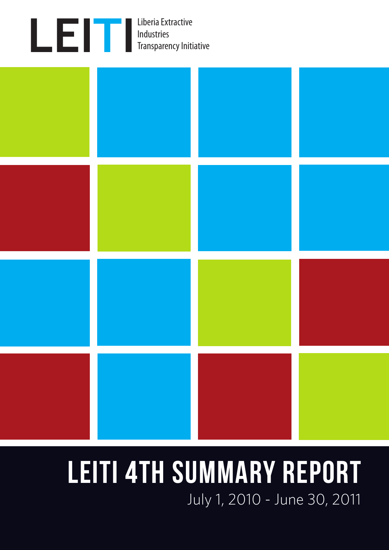



# LEITI 4TH SUMMARY REPORT July 1, 2010 - June 30, 2011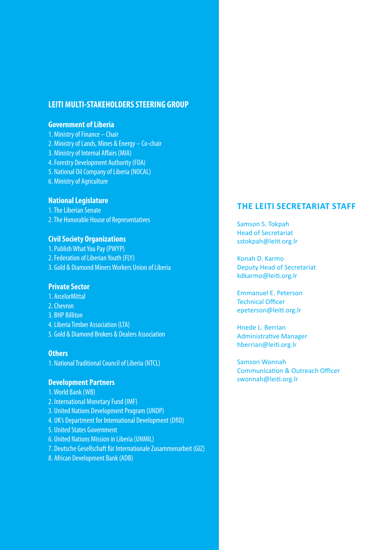## **LEITI MULTI-STAKEHOLDERS STEERING GROUP**

#### **Government of Liberia**

- 1. Ministry of Finance Chair
- 2. Ministry of Lands, Mines & Energy Co-chair
- 3. Ministry of Internal Affairs (MIA)
- 4. Forestry Development Authority (FDA)
- 5. National Oil Company of Liberia (NOCAL)
- 6. Ministry of Agriculture

#### **National Legislature**

1. The Liberian Senate 2. The Honorable House of Representatives

#### **Civil Society Organizations**

- 1. Publish What You Pay (PWYP)
- 2. Federation of Liberian Youth (FLY)
- 3. Gold & Diamond Miners Workers Union of Liberia

#### **Private Sector**

- 1. ArcelorMittal
- 2. Chevron
- 3. BHP Billiton
- 4. Liberia Timber Association (LTA)
- 5. Gold & Diamond Brokers & Dealers Association

#### **Others**

1. National Traditional Council of Liberia (NTCL)

#### **Development Partners**

- 1. World Bank (WB)
- 2. International Monetary Fund (IMF)
- 3. United Nations Development Program (UNDP)
- 4. UK's Department for International Development (DfID)
- 5. United States Government
- 6. United Nations Mission in Liberia (UNMIL)
- 7. Deutsche Gesellschaft für Internationale Zusammenarbeit (GIZ)
- 8. African Development Bank (ADB)

#### **THE LEITI SECRETARIAT STAFF**

Samson S. Tokpah Head of Secretariat sstokpah@leiti.org.lr

Konah D. Karmo Deputy Head of Secretariat kdkarmo@leiti.org.lr

Emmanuel E. Peterson Technical Officer epeterson@leiti.org.lr

Hnede L. Berrian Administrative Manager hberrian@leiti.org.lr

Samson Wonnah Communication & Outreach Officer swonnah@leiti.org.lr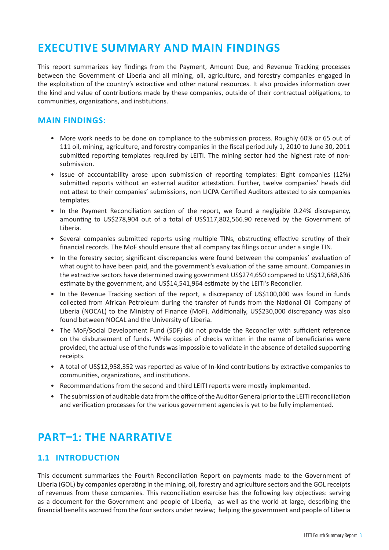## **EXECUTIVE SUMMARY AND MAIN FINDINGS**

This report summarizes key findings from the Payment, Amount Due, and Revenue Tracking processes between the Government of Liberia and all mining, oil, agriculture, and forestry companies engaged in the exploitation of the country's extractive and other natural resources. It also provides information over the kind and value of contributions made by these companies, outside of their contractual obligations, to communities, organizations, and institutions.

#### **MAIN FINDINGS:**

- More work needs to be done on compliance to the submission process. Roughly 60% or 65 out of 111 oil, mining, agriculture, and forestry companies in the fiscal period July 1, 2010 to June 30, 2011 submitted reporting templates required by LEITI. The mining sector had the highest rate of nonsubmission.
- Issue of accountability arose upon submission of reporting templates: Eight companies (12%) submitted reports without an external auditor attestation. Further, twelve companies' heads did not attest to their companies' submissions, non LICPA Certified Auditors attested to six companies templates.
- In the Payment Reconciliation section of the report, we found a negligible 0.24% discrepancy, amounting to US\$278,904 out of a total of US\$117,802,566.90 received by the Government of Liberia.
- Several companies submitted reports using multiple TINs, obstructing effective scrutiny of their financial records. The MoF should ensure that all company tax filings occur under a single TIN.
- In the forestry sector, significant discrepancies were found between the companies' evaluation of what ought to have been paid, and the government's evaluation of the same amount. Companies in the extractive sectors have determined owing government US\$274,650 compared to US\$12,688,636 estimate by the government, and US\$14,541,964 estimate by the LEITI's Reconciler.
- In the Revenue Tracking section of the report, a discrepancy of US\$100,000 was found in funds collected from African Petroleum during the transfer of funds from the National Oil Company of Liberia (NOCAL) to the Ministry of Finance (MoF). Additionally, US\$230,000 discrepancy was also found between NOCAL and the University of Liberia.
- The MoF/Social Development Fund (SDF) did not provide the Reconciler with sufficient reference on the disbursement of funds. While copies of checks written in the name of beneficiaries were provided, the actual use of the funds was impossible to validate in the absence of detailed supporting receipts.
- A total of US\$12,958,352 was reported as value of In-kind contributions by extractive companies to communities, organizations, and institutions.
- Recommendations from the second and third LEITI reports were mostly implemented.
- The submission of auditable data from the office of the Auditor General prior to the LEITI reconciliation and verification processes for the various government agencies is yet to be fully implemented.

## **PART–1: THE NARRATIVE**

## **1.1 INTRODUCTION**

This document summarizes the Fourth Reconciliation Report on payments made to the Government of Liberia (GOL) by companies operating in the mining, oil, forestry and agriculture sectors and the GOL receipts of revenues from these companies. This reconciliation exercise has the following key objectives: serving as a document for the Government and people of Liberia, as well as the world at large, describing the financial benefits accrued from the four sectors under review; helping the government and people of Liberia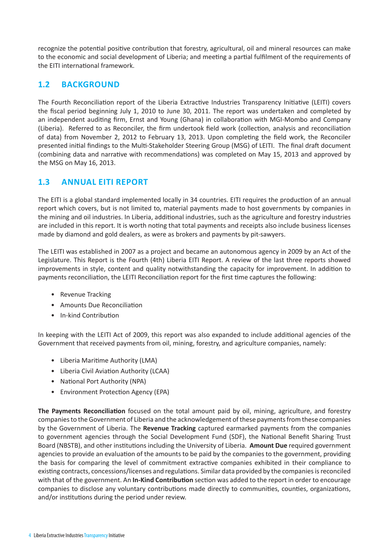recognize the potential positive contribution that forestry, agricultural, oil and mineral resources can make to the economic and social development of Liberia; and meeting a partial fulfilment of the requirements of the EITI international framework.

## **1.2 BACKGROUND**

The Fourth Reconciliation report of the Liberia Extractive Industries Transparency Initiative (LEITI) covers the fiscal period beginning July 1, 2010 to June 30, 2011. The report was undertaken and completed by an independent auditing firm, Ernst and Young (Ghana) in collaboration with MGI-Mombo and Company (Liberia). Referred to as Reconciler, the firm undertook field work (collection, analysis and reconciliation of data) from November 2, 2012 to February 13, 2013. Upon completing the field work, the Reconciler presented initial findings to the Multi-Stakeholder Steering Group (MSG) of LEITI. The final draft document (combining data and narrative with recommendations) was completed on May 15, 2013 and approved by the MSG on May 16, 2013.

## **1.3 ANNUAL EITI REPORT**

The EITI is a global standard implemented locally in 34 countries. EITI requires the production of an annual report which covers, but is not limited to, material payments made to host governments by companies in the mining and oil industries. In Liberia, additional industries, such as the agriculture and forestry industries are included in this report. It is worth noting that total payments and receipts also include business licenses made by diamond and gold dealers, as were as brokers and payments by pit-sawyers.

The LEITI was established in 2007 as a project and became an autonomous agency in 2009 by an Act of the Legislature. This Report is the Fourth (4th) Liberia EITI Report. A review of the last three reports showed improvements in style, content and quality notwithstanding the capacity for improvement. In addition to payments reconciliation, the LEITI Reconciliation report for the first time captures the following:

- Revenue Tracking
- Amounts Due Reconciliation
- In-kind Contribution

In keeping with the LEITI Act of 2009, this report was also expanded to include additional agencies of the Government that received payments from oil, mining, forestry, and agriculture companies, namely:

- Liberia Maritime Authority (LMA)
- Liberia Civil Aviation Authority (LCAA)
- National Port Authority (NPA)
- Environment Protection Agency (EPA)

**The Payments Reconciliation** focused on the total amount paid by oil, mining, agriculture, and forestry companies to the Government of Liberia and the acknowledgement of these payments from these companies by the Government of Liberia. The **Revenue Tracking** captured earmarked payments from the companies to government agencies through the Social Development Fund (SDF), the National Benefit Sharing Trust Board (NBSTB), and other institutions including the University of Liberia. **Amount Due** required government agencies to provide an evaluation of the amounts to be paid by the companies to the government, providing the basis for comparing the level of commitment extractive companies exhibited in their compliance to existing contracts, concessions/licenses and regulations. Similar data provided by the companies is reconciled with that of the government. An **In-Kind Contribution** section was added to the report in order to encourage companies to disclose any voluntary contributions made directly to communities, counties, organizations, and/or institutions during the period under review.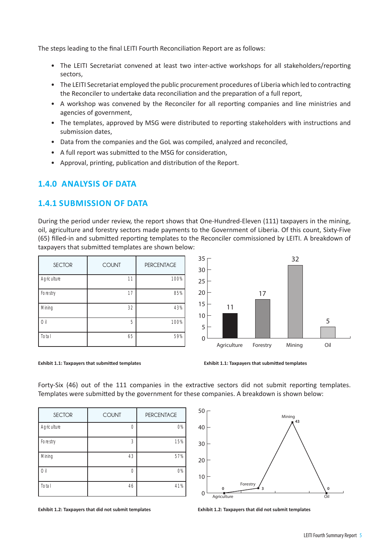The steps leading to the final LEITI Fourth Reconciliation Report are as follows:

- The LEITI Secretariat convened at least two inter-active workshops for all stakeholders/reporting sectors,
- The LEITI Secretariat employed the public procurement procedures of Liberia which led to contracting the Reconciler to undertake data reconciliation and the preparation of a full report,
- A workshop was convened by the Reconciler for all reporting companies and line ministries and agencies of government,
- The templates, approved by MSG were distributed to reporting stakeholders with instructions and submission dates,
- Data from the companies and the GoL was compiled, analyzed and reconciled,
- A full report was submitted to the MSG for consideration,
- Approval, printing, publication and distribution of the Report.

## **1.4.0 ANALYSIS OF DATA**

#### **1.4.1 SUBMISSION OF DATA**

During the period under review, the report shows that One-Hundred-Eleven (111) taxpayers in the mining, oil, agriculture and forestry sectors made payments to the Government of Liberia. Of this count, Sixty-Five (65) filled-in and submitted reporting templates to the Reconciler commissioned by LEITI. A breakdown of taxpayers that submitted templates are shown below:

| <b>SECTOR</b> | <b>COUNT</b> | <b>PERCENTAGE</b> | 35<br>30 |
|---------------|--------------|-------------------|----------|
| Agriculture   | 11           | 100%              | 25       |
| Forestry      | 17           | 85%               | 20       |
| Mining        | 32           | 43%               | 15<br>10 |
| Oil           | 5            | 100%              | 5        |
| Total         | 65           | 59%               | 0        |





Forty-Six (46) out of the 111 companies in the extractive sectors did not submit reporting templates. Templates were submitted by the government for these companies. A breakdown is shown below:

| <b>SECTOR</b> | <b>COUNT</b> | <b>PERCENTAGE</b> |
|---------------|--------------|-------------------|
| Agriculture   | $\bigcap$    | 0%                |
| Forestry      | 3            | 15%               |
| Mining        | 43           | 57%               |
| Oil           | Λ            | 0%                |
| Total         | 46           | 41%               |



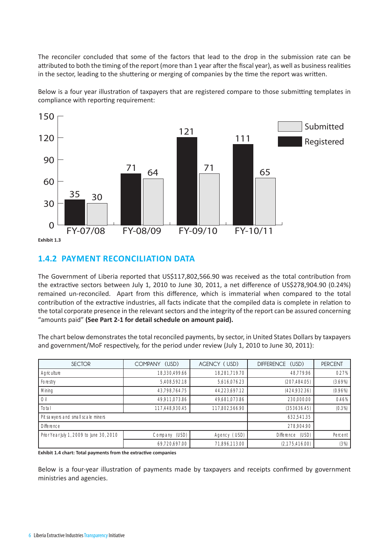The reconciler concluded that some of the factors that lead to the drop in the submission rate can be attributed to both the timing of the report (more than 1 year after the fiscal year), as well as business realities in the sector, leading to the shuttering or merging of companies by the time the report was written.

Below is a four year illustration of taxpayers that are registered compare to those submitting templates in compliance with reporting requirement:



## **1.4.2 PAYMENT RECONCILIATION DATA**

The Government of Liberia reported that US\$117,802,566.90 was received as the total contribution from the extractive sectors between July 1, 2010 to June 30, 2011, a net difference of US\$278,904.90 (0.24%) remained un-reconciled. Apart from this difference, which is immaterial when compared to the total contribution of the extractive industries, all facts indicate that the compiled data is complete in relation to the total corporate presence in the relevant sectors and the integrity of the report can be assured concerning "amounts paid" **(See Part 2-1 for detail schedule on amount paid).**

The chart below demonstrates the total reconciled payments, by sector, in United States Dollars by taxpayers and government/MoF respectively, for the period under review (July 1, 2010 to June 30, 2011):

| <b>SECTOR</b>                            | COMPANY (USD)  | AGENCY (USD)   | DIFFERENCE (USD) | <b>PERCENT</b> |
|------------------------------------------|----------------|----------------|------------------|----------------|
| Agriculture                              | 18,330,499.66  | 18,281,719.70  | 48.779.96        | 0.27%          |
| Forestry                                 | 5,408,592.18   | 5,616,076.23   | (207, 484.05)    | (3.69%)        |
| Mining                                   | 43,798,764.75  | 44,223,697.12  | (424, 932.36)    | (0.96%)        |
| Oil                                      | 49,911,073.86  | 49,681,073.86  | 230,000.00       | 0.46%          |
| Total                                    | 117,448,930.45 | 117,802,566.90 | (353636.45)      | (0.3%)         |
| Pit sawyers and small scale miners       |                |                | 632,541.35       |                |
| <b>Difference</b>                        |                |                | 278,904.90       |                |
| Prior Year July 1, 2009 to June 30, 2010 | Company (USD)  | Agency (USD)   | Difference (USD) | Percent        |
|                                          | 69,720,697.00  | 71,896,113.00  | (2, 175, 416.00) | (3%)           |

**Exhibit 1.4 chart: Total payments from the extractive companies**

Below is a four-year illustration of payments made by taxpayers and receipts confirmed by government ministries and agencies.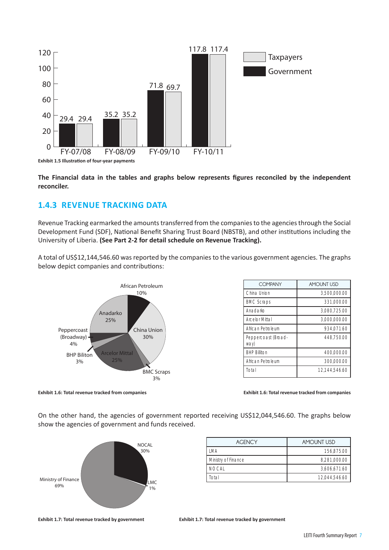

**Exhibit 1.5 Illustration of four-year payments**

**The Financial data in the tables and graphs below represents figures reconciled by the independent reconciler.**

## **1.4.3 REVENUE TRACKING DATA**

Revenue Tracking earmarked the amounts transferred from the companies to the agencies through the Social Development Fund (SDF), National Benefit Sharing Trust Board (NBSTB), and other institutions including the University of Liberia. **(See Part 2-2 for detail schedule on Revenue Tracking).**

A total of US\$12,144,546.60 was reported by the companies to the various government agencies. The graphs below depict companies and contributions:



Anadarko Arcelor Mittal Total **COMPANY AMOUNT USD** China Union 2,500,000.00 BMC Scraps 331,000.00 Anadarko 3,080,725.00 Arcelor Mittal 3,000,000.00 African Petroleum 1934,071.60 Peppercoast (Broadway) 448,750.00 BHP Billiton 400,000.00 African Petroleum 300,000.00 12,144,546.60

**Exhibit 1.6: Total revenue tracked from companies Exhibit 1.6: Total revenue tracked from companies**

On the other hand, the agencies of government reported receiving US\$12,044,546.60. The graphs below show the agencies of government and funds received.



| <b>AGENCY</b>       | <b>AMOUNT USD</b> |  |  |  |
|---------------------|-------------------|--|--|--|
| I MA                | 156.875.00        |  |  |  |
| Ministry of Finance | 8,281,000.00      |  |  |  |
| <b>NOCAL</b>        | 3,606,671.60      |  |  |  |
| Total               | 12.044.546.60     |  |  |  |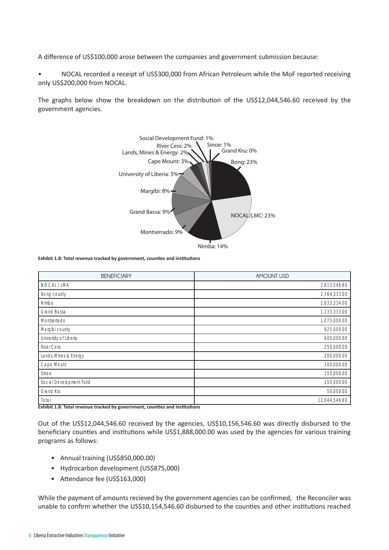A difference of US\$100,000 arose between the companies and government submission because:

• NOCAL recorded a receipt of US\$300,000 from African Petroleum while the MoF reported receiving only US\$200,000 from NOCAL.

The graphs below show the breakdown on the distribution of the US\$12,044,546.60 received by the government agencies.



**Exhibit 1.8: Total revenue tracked by government, counties and institutions**

| <b>BENEFICIARY</b>                         | <b>AMOUNT USD</b> |
|--------------------------------------------|-------------------|
| NOCAL / LMA                                | 2,813,546.60      |
| Bong county                                | 2,764,333.00      |
| Nimba                                      | 1,633,334.00      |
| Grand Bassa                                | 1,133,333.00      |
| Montserrado                                | 1,075,000.00      |
| Margibi county                             | 925,000.00        |
| University of Liberia                      | 600,000.00        |
| <b>River Cess</b>                          | 250,000.00        |
| Lands, Mines & Energy                      | 200,000.00        |
| Cape Mount                                 | 300,000.00        |
| Sinoe                                      | 150,000.00        |
| Social Development Fund                    | 150,000.00        |
| Grand Kru                                  | 50,000.00         |
| Total<br><del>.</del><br>┯<br><del>.</del> | 12,044,546.60     |

**Exhibit 1.8: Total revenue tracked by government, counties and institutions**

Out of the US\$12,044,546.60 received by the agencies, US\$10,156,546.60 was directly disbursed to the beneficiary counties and institutions while US\$1,888,000.00 was used by the agencies for various training programs as follows:

- Annual training (US\$850,000.00)
- Hydrocarbon development (US\$875,000)
- Attendance fee (US\$163,000)

While the payment of amounts recieved by the government agencies can be confirmed, the Reconciler was unable to confirm whether the US\$10,154,546.60 disbursed to the counties and other institutions reached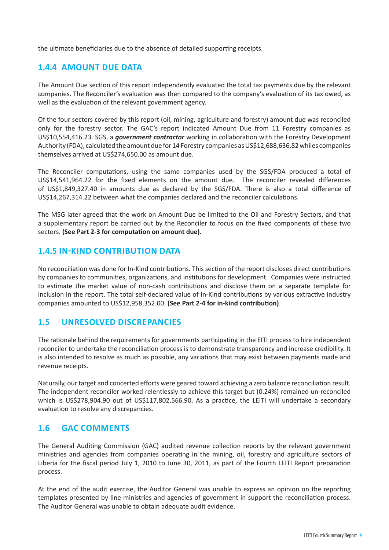the ultimate beneficiaries due to the absence of detailed supporting receipts.

## **1.4.4 AMOUNT DUE DATA**

The Amount Due section of this report independently evaluated the total tax payments due by the relevant companies. The Reconciler's evaluation was then compared to the company's evaluation of its tax owed, as well as the evaluation of the relevant government agency.

Of the four sectors covered by this report (oil, mining, agriculture and forestry) amount due was reconciled only for the forestry sector. The GAC's report indicated Amount Due from 11 Forestry companies as US\$10,554,416.23. SGS, a *government contractor* working in collaboration with the Forestry Development Authority (FDA), calculated the amount due for 14 Forestry companies as US\$12,688,636.82 whiles companies themselves arrived at US\$274,650.00 as amount due.

The Reconciler computations, using the same companies used by the SGS/FDA produced a total of US\$14,541,964.22 for the fixed elements on the amount due. The reconciler revealed differences of US\$1,849,327.40 in amounts due as declared by the SGS/FDA. There is also a total difference of US\$14,267,314.22 between what the companies declared and the reconciler calculations.

The MSG later agreed that the work on Amount Due be limited to the Oil and Forestry Sectors, and that a supplementary report be carried out by the Reconciler to focus on the fixed components of these two sectors. **(See Part 2-3 for computation on amount due).** 

#### **1.4.5 IN-KIND CONTRIBUTION DATA**

No reconciliation was done for In-Kind contributions. This section of the report discloses direct contributions by companies to communities, organizations, and institutions for development. Companies were instructed to estimate the market value of non-cash contributions and disclose them on a separate template for inclusion in the report. The total self-declared value of In-Kind contributions by various extractive industry companies amounted to US\$12,958,352.00. **(See Part 2-4 for in-kind contribution)**.

## **1.5 UNRESOLVED DISCREPANCIES**

The rationale behind the requirements for governments participating in the EITI process to hire independent reconciler to undertake the reconciliation process is to demonstrate transparency and increase credibility. It is also intended to resolve as much as possible, any variations that may exist between payments made and revenue receipts.

Naturally, our target and concerted efforts were geared toward achieving a zero balance reconciliation result. The independent reconciler worked relentlessly to achieve this target but (0.24%) remained un-reconciled which is US\$278,904.90 out of US\$117,802,566.90. As a practice, the LEITI will undertake a secondary evaluation to resolve any discrepancies.

#### **1.6 GAC COMMENTS**

The General Auditing Commission (GAC) audited revenue collection reports by the relevant government ministries and agencies from companies operating in the mining, oil, forestry and agriculture sectors of Liberia for the fiscal period July 1, 2010 to June 30, 2011, as part of the Fourth LEITI Report preparation process.

At the end of the audit exercise, the Auditor General was unable to express an opinion on the reporting templates presented by line ministries and agencies of government in support the reconciliation process. The Auditor General was unable to obtain adequate audit evidence.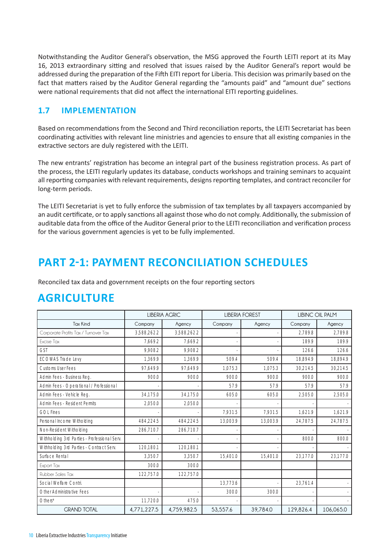Notwithstanding the Auditor General's observation, the MSG approved the Fourth LEITI report at its May 16, 2013 extraordinary sitting and resolved that issues raised by the Auditor General's report would be addressed during the preparation of the Fifth EITI report for Liberia. This decision was primarily based on the fact that matters raised by the Auditor General regarding the "amounts paid" and "amount due" sections were national requirements that did not affect the international EITI reporting guidelines.

## **1.7 IMPLEMENTATION**

Based on recommendations from the Second and Third reconciliation reports, the LEITI Secretariat has been coordinating activities with relevant line ministries and agencies to ensure that all existing companies in the extractive sectors are duly registered with the LEITI.

The new entrants' registration has become an integral part of the business registration process. As part of the process, the LEITI regularly updates its database, conducts workshops and training seminars to acquaint all reporting companies with relevant requirements, designs reporting templates, and contract reconciler for long-term periods.

The LEITI Secretariat is yet to fully enforce the submission of tax templates by all taxpayers accompanied by an audit certificate, or to apply sanctions all against those who do not comply. Additionally, the submission of auditable data from the office of the Auditor General prior to the LEITI reconciliation and verification process for the various government agencies is yet to be fully implemented.

## **PART 2-1: PAYMENT RECONCILIATION SCHEDULES**

Reconciled tax data and government receipts on the four reporting sectors

## **AGRICULTURE**

|                                              |             | <b>LIBERIA AGRIC</b> |          | <b>LIBERIA FOREST</b> | <b>LIBINC OIL PALM</b> |           |
|----------------------------------------------|-------------|----------------------|----------|-----------------------|------------------------|-----------|
| <b>Tax Kind</b>                              | Company     | Agency               | Company  | Agency                |                        | Agency    |
| Corporate Profits Tax / Turnover Tax         | 3,588,262.2 | 3,588,262.2          |          |                       | 2.789.8                | 2,789.8   |
| Excise Tax                                   | 7,669.2     | 7.669.2              |          |                       | 189.9                  | 189.9     |
| <b>GST</b>                                   | 9.908.2     | 9.908.2              |          |                       | 126.6                  | 126.6     |
| <b>ECOWAS Trade Levy</b>                     | 1,369.9     | 1,369.9              | 509.4    | 509.4                 | 18,894.9               | 18,894.9  |
| <b>Customs User Fees</b>                     | 97.649.9    | 97.649.9             | 1.075.3  | 1.075.3               | 30,214.5               | 30,214.5  |
| Admin Fees - Business Reg.                   | 900.0       | 900.0                | 900.0    | 900.0                 | 900.0                  | 900.0     |
| Admin Fees - Operational / Professional      |             |                      | 57.9     | 57.9                  | 57.9                   | 57.9      |
| Admin Fees - Vehicle Reg.                    | 34,175.0    | 34,175.0             | 605.0    | 605.0                 | 2,505.0                | 2,505.0   |
| Admin Fees - Resident Permits                | 2,050.0     | 2,050.0              |          |                       |                        |           |
| <b>GOL Fines</b>                             |             |                      | 7,931.5  | 7,931.5               | 1,621.9                | 1,621.9   |
| Personal Income Witholding                   | 484,224.5   | 484,224.5            | 13,003.9 | 13,003.9              | 24,787.5               | 24,787.5  |
| Non-Resident Witholding                      | 286,710.7   | 286,710.7            |          |                       |                        |           |
| Withholding 3rd Parties - Professional Serv. |             |                      |          |                       | 800.0                  | 800.0     |
| Withholding 3rd Parties - Contract Serv.     | 120.180.1   | 120.180.1            |          |                       |                        |           |
| Surface Rental                               | 3,350.7     | 3.350.7              | 15.401.0 | 15.401.0              | 23.177.0               | 23,177.0  |
| Export Tax                                   | 300.0       | 300.0                |          |                       |                        |           |
| Rubber Sales Tax                             | 122.757.0   | 122.757.0            |          |                       |                        |           |
| Social Welfare Contri.                       |             |                      | 13.773.6 |                       | 23,761.4               |           |
| Other Administrative Fees                    |             |                      | 300.0    | 300.0                 |                        |           |
| Others*                                      | 11,720.0    | 475.0                |          |                       |                        |           |
| <b><i>GRAND TOTAL</i></b>                    | 4,771,227.5 | 4,759,982.5          | 53,557.6 | 39,784.0              | 129,826.4              | 106,065.0 |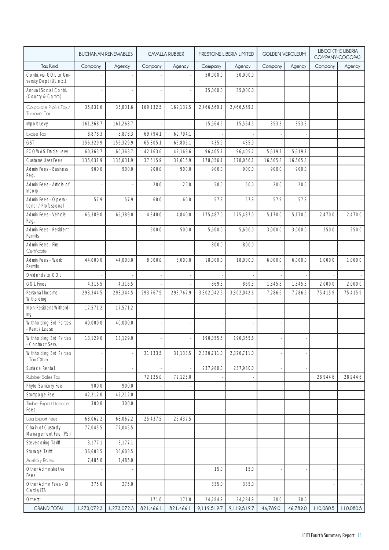|                                                   |             | <b>BUCHANAN RENEWABLES</b> |           | <b>CAVALLA RUBBER</b> | FIRESTONE LIBERIA LIMITED |             | <b>GOLDEN VEROLEUM</b> |          | <b>LIBCO (THE LIBERIA</b><br>COMPANY-COCOPA) |           |
|---------------------------------------------------|-------------|----------------------------|-----------|-----------------------|---------------------------|-------------|------------------------|----------|----------------------------------------------|-----------|
| <b>Tax Kind</b>                                   | Company     | Agency                     | Company   | Agency                | Company                   | Agency      | Company                | Agency   | Company                                      | Agency    |
| Contri. via GOL to Uni-<br>versity Dept (UL etc.) |             |                            |           |                       | 50,000.0                  | 50,000.0    |                        |          |                                              |           |
| Annual Social Contri.<br>(County & Comm.)         |             |                            |           |                       | 35,000.0                  | 35,000.0    |                        |          |                                              |           |
| Corporate Profits Tax /<br>Turnover Tax           | 35,831.6    | 35,831.6                   | 169,132.5 | 169,132.5             | 2,466,569.1               | 2,466,569.1 |                        |          |                                              |           |
| Import Levy                                       | 161,268.7   | 161,268.7                  |           |                       | 15,564.5                  | 15,564.5    | 353.3                  | 353.3    |                                              |           |
| Excise Tax                                        | 8,878.3     | 8,878.3                    | 69,794.1  | 69,794.1              |                           |             |                        |          |                                              |           |
| <b>GST</b>                                        | 156,329.9   | 156,329.9                  | 65,805.1  | 65,805.1              | 435.9                     | 435.9       |                        |          |                                              |           |
| <b>ECOWAS Trade Levy</b>                          | 60,363.7    | 60,363.7                   | 42,163.6  | 42,163.6              | 96,405.7                  | 96,405.7    | 5,619.7                | 5,619.7  |                                              |           |
| <b>Customs User Fees</b>                          | 135,631.9   | 135,631.9                  | 37,615.9  | 37,615.9              | 178,056.1                 | 178,056.1   | 16,505.8               | 16,505.8 |                                              |           |
| Admin Fees - Business<br>Reg.                     | 900.0       | 900.0                      | 900.0     | 900.0                 | 900.0                     | 900.0       | 900.0                  | 900.0    |                                              |           |
| Admin Fees - Article of<br>Incorp.                |             |                            | 20.0      | 20.0                  | 50.0                      | 50.0        | 20.0                   | 20.0     |                                              |           |
| Admin Fees - Opera-<br>tional / Professional      | 57.9        | 57.9                       | 60.0      | 60.0                  | 57.9                      | 57.9        | 57.9                   | 57.9     |                                              |           |
| Admin Fees - Vehicle<br>Reg.                      | 65,389.0    | 65,389.0                   | 4,840.0   | 4,840.0               | 175,487.0                 | 175,487.0   | 5.170.0                | 5,170.0  | 2,470.0                                      | 2,470.0   |
| Admin Fees - Resident<br>Permits                  |             |                            | 500.0     | 500.0                 | 5,600.0                   | 5,600.0     | 3,000.0                | 3,000.0  | 250.0                                        | 250.0     |
| Admin Fees - Fire<br>Certificate                  |             |                            |           |                       | 800.0                     | 800.0       |                        |          |                                              |           |
| Admin Fees - Work<br>Permits                      | 44,000.0    | 44,000.0                   | 8,000.0   | 8,000.0               | 18,000.0                  | 18,000.0    | 6,000.0                | 6,000.0  | 1,000.0                                      | 1,000.0   |
| Dividends to GOL                                  |             |                            |           |                       |                           |             |                        |          |                                              |           |
| <b>GOL Fines</b>                                  | 4,316.5     | 4,316.5                    |           |                       | 869.3                     | 869.3       | 1,845.8                | 1,845.8  | 2,000.0                                      | 2,000.0   |
| Personal Income<br>Witholding                     | 293,344.5   | 293,344.5                  | 293,767.9 | 293,767.9             | 3,302,042.6               | 3,302,042.6 | 7,286.6                | 7,286.6  | 75,415.9                                     | 75,415.9  |
| Non-Resident Withold-<br>ing                      | 17,571.2    | 17,571.2                   |           |                       |                           |             |                        |          |                                              |           |
| Withholding 3rd Parties<br>- Rent / Lease         | 40.000.0    | 40,000.0                   |           |                       |                           |             |                        |          |                                              |           |
| Withholding 3rd Parties<br>- Contract Serv.       | 13,129.0    | 13,129.0                   |           |                       | 190,355.6                 | 190,355.6   |                        |          |                                              |           |
| Withholding 3rd Parties<br>- Tax Other            |             |                            | 31,133.5  | 31,133.5              | 2,320,711.0               | 2,320,711.0 |                        |          |                                              |           |
| Surface Rental                                    |             |                            |           |                       | 237,980.0                 | 237,980.0   |                        |          |                                              |           |
| Rubber Sales Tax                                  |             |                            | 72,125.0  | 72,125.0              |                           |             |                        |          | 28,944.6                                     | 28,944.6  |
| Phyto Sanitory Fee                                | 900.0       | 900.0                      |           |                       |                           |             |                        |          |                                              |           |
| Stumpage Fee                                      | 42,212.0    | 42,212.0                   |           |                       |                           |             |                        |          |                                              |           |
| Timber Export Licence<br>Fees                     | 300.0       | 300.0                      |           |                       |                           |             |                        |          |                                              |           |
| Log Export Fees                                   | 68,062.2    | 68,062.2                   | 25,437.5  | 25,437.5              |                           |             |                        |          |                                              |           |
| Chain of Custody<br>Management Fee (PSI)          | 77,045.5    | 77,045.5                   |           |                       |                           |             |                        |          |                                              |           |
| Stevedoring Tariff                                | 3,177.1     | 3,177.1                    |           |                       |                           |             |                        |          |                                              |           |
| Storage Tariff                                    | 36,603.5    | 36,603.5                   |           |                       |                           |             |                        |          |                                              |           |
| Auxiliary Rates                                   | 7,485.0     | 7,485.0                    |           |                       |                           |             |                        |          |                                              |           |
| Other Administrative<br>Fees                      |             |                            |           |                       | 15.0                      | 15.0        |                        |          |                                              |           |
| Other Admin Fees - ID<br>Cards/LTA                | 275.0       | 275.0                      |           |                       | 335.0                     | 335.0       |                        |          |                                              |           |
| $Others^*$                                        |             |                            | 171.0     | 171.0                 | 24,284.9                  | 24,284.9    | 30.0                   | 30.0     |                                              |           |
| <b>GRAND TOTAL</b>                                | 1,273,072.3 | 1,273,072.3                | 821,466.1 | 821,466.1             | 9,119,519.7               | 9,119,519.7 | 46,789.0               | 46,789.0 | 110,080.5                                    | 110,080.5 |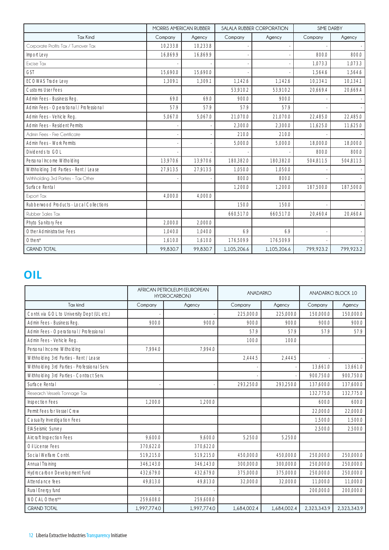|                                         | <b>MORRIS AMERICAN RUBBER</b> |          |             | <b>SALALA RUBBER CORPORATION</b> | SIME DARBY |           |  |
|-----------------------------------------|-------------------------------|----------|-------------|----------------------------------|------------|-----------|--|
| <b>Tax Kind</b>                         | Company                       | Agency   | Company     | Agency                           | Company    | Agency    |  |
| Corporate Profits Tax / Turnover Tax    | 10,233.8                      | 10.233.8 |             |                                  |            |           |  |
| Import Levy                             | 16.869.9                      | 16.869.9 |             |                                  | 800.0      | 800.0     |  |
| Excise Tax                              |                               |          |             |                                  | 1.073.3    | 1.073.3   |  |
| <b>GST</b>                              | 15,690.0                      | 15,690.0 |             |                                  | 1,564.6    | 1,564.6   |  |
| <b>ECOWAS Trade Levy</b>                | 1.309.1                       | 1,309.1  | 1,142.6     | 1,142.6                          | 10,134.1   | 10,134.1  |  |
| <b>Customs User Fees</b>                |                               |          | 53,910.2    | 53,910.2                         | 20,669.4   | 20,669.4  |  |
| Admin Fees - Business Reg.              | 69.0                          | 69.0     | 900.0       | 900.0                            |            |           |  |
| Admin Fees - Operational / Professional | 57.9                          | 57.9     | 57.9        | 57.9                             |            |           |  |
| Admin Fees - Vehicle Reg.               | 5,067.0                       | 5,067.0  | 21,070.0    | 21.070.0                         | 22,485.0   | 22,485.0  |  |
| Admin Fees - Resident Permits           |                               |          | 2,300.0     | 2.300.0                          | 11.625.0   | 11.625.0  |  |
| Admin Fees - Fire Certificate           |                               |          | 210.0       | 210.0                            |            |           |  |
| Admin Fees - Work Permits               |                               |          | 5.000.0     | 5.000.0                          | 18.000.0   | 18,000.0  |  |
| Dividends to GOL                        |                               |          |             |                                  | 800.0      | 800.0     |  |
| Personal Income Witholding              | 13,970.6                      | 13,970.6 | 180,382.0   | 180,382.0                        | 504,811.5  | 504,811.5 |  |
| Withholding 3rd Parties - Rent / Lease  | 27,913.5                      | 27,913.5 | 1,050.0     | 1.050.0                          |            |           |  |
| Withholding 3rd Parties - Tax Other     |                               |          | 800.0       | 800.0                            |            |           |  |
| Surface Rental                          |                               |          | 1.200.0     | 1.200.0                          | 187,500.0  | 187,500.0 |  |
| Export Tax                              | 4,000.0                       | 4,000.0  |             |                                  |            |           |  |
| Rubberwood Products - Local Collections |                               |          | 150.0       | 150.0                            |            |           |  |
| Rubber Sales Tax                        |                               |          | 660.517.0   | 660.517.0                        | 20.460.4   | 20.460.4  |  |
| Phyto Sanitory Fee                      | 2.000.0                       | 2.000.0  |             |                                  |            |           |  |
| Other Administrative Fees               | 1.040.0                       | 1.040.0  | 6.9         | 6.9                              |            |           |  |
| Others*                                 | 1.610.0                       | 1,610.0  | 176,509.9   | 176,509.9                        |            |           |  |
| <b>GRAND TOTAL</b>                      | 99,830.7                      | 99,830.7 | 1,105,206.6 | 1,105,206.6                      | 799,923.2  | 799,923.2 |  |

## **OIL**

|                                              | AFRICAN PETROLEUM (EUROPEAN<br><b>HYDROCARBON)</b> |             | <b>ANADARKO</b> |             | ANADARKO BLOCK 10 |             |
|----------------------------------------------|----------------------------------------------------|-------------|-----------------|-------------|-------------------|-------------|
| Tax kind                                     | Company                                            | Agency      | Company         | Agency      | Company           | Agency      |
| Contri. via GOL to University Dept (UL etc.) |                                                    |             | 225,000.0       | 225,000.0   | 150.000.0         | 150,000.0   |
| Admin Fees - Business Reg.                   | 900.0                                              | 900.0       | 900.0           | 900.0       | 900.0             | 900.0       |
| Admin Fees - Operational / Professional      |                                                    |             | 57.9            | 57.9        | 57.9              | 57.9        |
| Admin Fees - Vehicle Reg.                    |                                                    |             | 100.0           | 100.0       |                   |             |
| Personal Income Witholding                   | 7.994.0                                            | 7.994.0     |                 |             |                   |             |
| Withholding 3rd Parties - Rent / Lease       |                                                    |             | 2.444.5         | 2,444.5     |                   |             |
| Withholding 3rd Parties - Professional Serv. |                                                    |             |                 |             | 13.661.0          | 13.661.0    |
| Withholding 3rd Parties - Contract Serv.     |                                                    |             |                 |             | 900.750.0         | 900,750.0   |
| Surface Rental                               |                                                    |             | 293,250.0       | 293,250.0   | 137.600.0         | 137,600.0   |
| Research Vessels Tonnage Tax                 |                                                    |             |                 |             | 132,775.0         | 132,775.0   |
| <b>Inspection Fees</b>                       | 1.200.0                                            | 1.200.0     |                 |             | 600.0             | 600.0       |
| Permit Fees for Vessel Crew                  |                                                    |             |                 |             | 22,000.0          | 22,000.0    |
| Casualty Investigation Fees                  |                                                    |             |                 |             | 1.500.0           | 1,500.0     |
| <b>EIA:Seismic Survey</b>                    |                                                    |             |                 |             | 2,500.0           | 2,500.0     |
| Aircraft Inspection Fees                     | 9.600.0                                            | 9.600.0     | 5,250.0         | 5,250.0     |                   |             |
| Oil License Fees                             | 370,622.0                                          | 370,622.0   |                 |             |                   |             |
| Social Welfare Contri.                       | 519,215.0                                          | 519,215.0   | 450,000.0       | 450,000.0   | 250,000.0         | 250,000.0   |
| Annual Training                              | 346.143.0                                          | 346.143.0   | 300,000.0       | 300,000.0   | 250,000.0         | 250,000.0   |
| Hydrocarbon Development Fund                 | 432.679.0                                          | 432.679.0   | 375.000.0       | 375,000.0   | 250,000.0         | 250,000.0   |
| Attendance fees                              | 49,813.0                                           | 49,813.0    | 32.000.0        | 32,000.0    | 11,000.0          | 11,000.0    |
| Rural Energy fund                            |                                                    |             |                 |             | 200,000.0         | 200,000.0   |
| NOCAL Others**                               | 259,608.0                                          | 259,608.0   |                 |             |                   |             |
| <b>GRAND TOTAL</b>                           | 1,997,774.0                                        | 1,997,774.0 | 1,684,002.4     | 1,684,002.4 | 2,323,343.9       | 2,323,343.9 |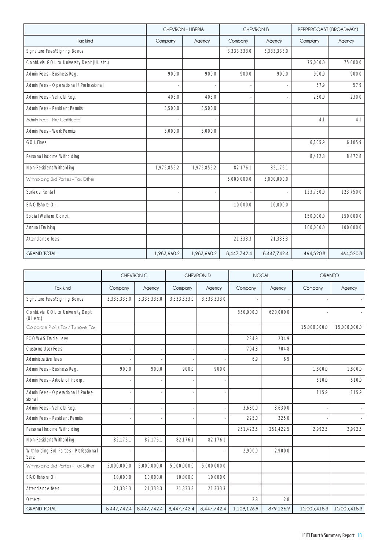|                                              | <b>CHEVRON - LIBERIA</b> |             |             | <b>CHEVRON B</b> | PEPPERCOAST (BROADWAY) |           |
|----------------------------------------------|--------------------------|-------------|-------------|------------------|------------------------|-----------|
| Tax kind                                     | Company                  | Agency      | Company     | Agency           | Company                | Agency    |
| Signature Fees/Signing Bonus                 |                          |             | 3,333,333.0 | 3,333,333.0      |                        |           |
| Contri. via GOL to University Dept (UL etc.) |                          |             |             |                  | 75,000.0               | 75,000.0  |
| Admin Fees - Business Reg.                   | 900.0                    | 900.0       | 900.0       | 900.0            | 900.0                  | 900.0     |
| Admin Fees - Operational / Professional      |                          |             |             |                  | 57.9                   | 57.9      |
| Admin Fees - Vehicle Reg.                    | 405.0                    | 405.0       |             |                  | 230.0                  | 230.0     |
| Admin Fees - Resident Permits                | 3,500.0                  | 3,500.0     |             |                  |                        |           |
| Admin Fees - Fire Certificate                |                          |             |             |                  | 4.1                    | 4.1       |
| Admin Fees - Work Permits                    | 3,000.0                  | 3,000.0     |             |                  |                        |           |
| <b>GOL Fines</b>                             |                          |             |             |                  | 6,105.9                | 6,105.9   |
| Personal Income Witholding                   |                          |             |             |                  | 8,472.8                | 8,472.8   |
| Non-Resident Witholding                      | 1,975,855.2              | 1,975,855.2 | 82,176.1    | 82,176.1         |                        |           |
| Withholding 3rd Parties - Tax Other          |                          |             | 5,000,000.0 | 5,000,000.0      |                        |           |
| Surface Rental                               |                          |             |             |                  | 123,750.0              | 123,750.0 |
| EIA:Offshore Oil                             |                          |             | 10,000.0    | 10,000.0         |                        |           |
| Social Welfare Contri.                       |                          |             |             |                  | 150,000.0              | 150,000.0 |
| Annual Training                              |                          |             |             |                  | 100,000.0              | 100,000.0 |
| Attendance fees                              |                          |             | 21,333.3    | 21,333.3         |                        |           |
| <b>GRAND TOTAL</b>                           | 1,983,660.2              | 1,983,660.2 | 8,447,742.4 | 8,447,742.4      | 464,520.8              | 464,520.8 |

|                                                 |             | CHEVRON C   |             | CHEVRON D   |             | <b>NOCAL</b> |              | <b>ORANTO</b> |  |
|-------------------------------------------------|-------------|-------------|-------------|-------------|-------------|--------------|--------------|---------------|--|
| Tax kind                                        | Company     | Agency      | Company     | Agency      | Company     | Agency       | Company      | Agency        |  |
| Signature Fees/Signing Bonus                    | 3,333,333.0 | 3.333.333.0 | 3,333,333.0 | 3.333.333.0 |             |              |              |               |  |
| Contri. via GOL to University Dept<br>(UL etc.) |             |             |             |             | 850,000.0   | 620,000.0    |              |               |  |
| Corporate Profits Tax / Turnover Tax            |             |             |             |             |             |              | 15,000,000.0 | 15.000.000.0  |  |
| <b>ECOWAS Trade Levy</b>                        |             |             |             |             | 234.9       | 234.9        |              |               |  |
| <b>Customs User Fees</b>                        |             |             |             |             | 704.8       | 704.8        |              |               |  |
| Administrative fees                             |             |             |             |             | 6.9         | 6.9          |              |               |  |
| Admin Fees - Business Reg.                      | 900.0       | 900.0       | 900.0       | 900.0       |             |              | 1.800.0      | 1,800.0       |  |
| Admin Fees - Article of Incorp.                 |             |             |             |             |             |              | 510.0        | 510.0         |  |
| Admin Fees - Operational / Profes-<br>sional    |             |             |             |             |             |              | 115.9        | 115.9         |  |
| Admin Fees - Vehicle Reg.                       |             |             |             |             | 3.630.0     | 3.630.0      |              |               |  |
| Admin Fees - Resident Permits                   |             |             |             |             | 225.0       | 225.0        |              |               |  |
| Personal Income Witholding                      |             |             |             |             | 251,422.5   | 251,422.5    | 2,992.5      | 2.992.5       |  |
| Non-Resident Witholding                         | 82.176.1    | 82.176.1    | 82.176.1    | 82.176.1    |             |              |              |               |  |
| Withholding 3rd Parties - Professional<br>Serv  |             |             |             |             | 2,900.0     | 2,900.0      |              |               |  |
| Withholding 3rd Parties - Tax Other             | 5,000,000.0 | 5,000,000.0 | 5,000,000.0 | 5,000,000.0 |             |              |              |               |  |
| EIA:Offshore Oil                                | 10,000.0    | 10,000.0    | 10,000.0    | 10,000.0    |             |              |              |               |  |
| Attendance fees                                 | 21.333.3    | 21,333.3    | 21.333.3    | 21,333.3    |             |              |              |               |  |
| $Other*$                                        |             |             |             |             | 2.8         | 2.8          |              |               |  |
| <b>GRAND TOTAL</b>                              | 8,447,742.4 | 8.447.742.4 | 8.447.742.4 | 8.447.742.4 | 1,109,126.9 | 879.126.9    | 15,005,418.3 | 15.005.418.3  |  |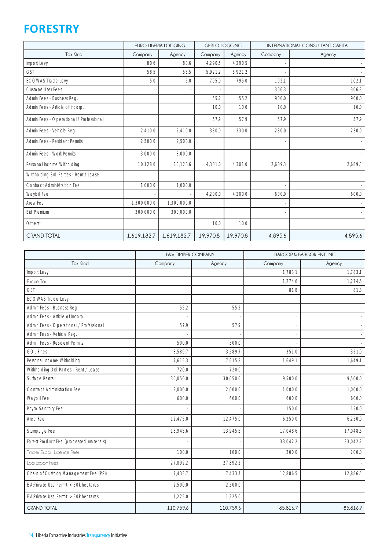## **FORESTRY**

|                                         |             | <b>EURO LIBERIA LOGGING</b><br><b>GEBLO LOGGING</b> |          | <b>INTERNATIONAL CONSULTANT CAPITAL</b> |         |         |
|-----------------------------------------|-------------|-----------------------------------------------------|----------|-----------------------------------------|---------|---------|
| <b>Tax Kind</b>                         | Company     | Agency                                              | Company  | Agency                                  | Company | Agency  |
| Import Levy                             | 80.6        | 80.6                                                | 4,290.5  | 4,290.5                                 |         |         |
| <b>GST</b>                              | 58.5        | 58.5                                                | 5,921.2  | 5,921.2                                 |         |         |
| <b>ECOWAS Trade Levy</b>                | 5.0         | 5.0                                                 | 795.0    | 795.0                                   | 102.1   | 102.1   |
| <b>Customs User Fees</b>                |             |                                                     |          |                                         | 306.3   | 306.3   |
| Admin Fees - Business Reg.              |             |                                                     | 55.2     | 55.2                                    | 900.0   | 900.0   |
| Admin Fees - Article of Incorp.         |             |                                                     | 10.0     | 10.0                                    | 10.0    | 10.0    |
| Admin Fees - Operational / Professional |             |                                                     | 57.9     | 57.9                                    | 57.9    | 57.9    |
| Admin Fees - Vehicle Reg.               | 2,410.0     | 2,410.0                                             | 330.0    | 330.0                                   | 230.0   | 230.0   |
| Admin Fees - Resident Permits           | 2,500.0     | 2,500.0                                             |          |                                         |         |         |
| Admin Fees - Work Permits               | 3.000.0     | 3,000.0                                             |          |                                         |         |         |
| Personal Income Witholding              | 10,128.6    | 10,128.6                                            | 4,301.0  | 4,301.0                                 | 2,689.3 | 2,689.3 |
| Withholding 3rd Parties - Rent / Lease  |             |                                                     |          |                                         |         |         |
| <b>Contract Administration Fee</b>      | 1,000.0     | 1,000.0                                             |          |                                         |         |         |
| Waybill Fee                             |             |                                                     | 4,200.0  | 4,200.0                                 | 600.0   | 600.0   |
| Area Fee                                | 1,300,000.0 | 1,300,000.0                                         |          |                                         |         |         |
| <b>Bid Premium</b>                      | 300,000.0   | 300,000.0                                           |          |                                         |         |         |
| Others*                                 |             |                                                     | 10.0     | 10.0                                    |         |         |
| <b>GRAND TOTAL</b>                      | 1,619,182.7 | 1,619,182.7                                         | 19,970.8 | 19,970.8                                | 4,895.6 | 4,895.6 |

|                                          | <b>B&amp;V TIMBER COMPANY</b> |           | <b>BARGOR &amp; BARGOR ENT. INC</b> |          |  |  |
|------------------------------------------|-------------------------------|-----------|-------------------------------------|----------|--|--|
| <b>Tax Kind</b>                          | Company                       | Agency    | Company                             | Agency   |  |  |
| Import Levy                              |                               |           | 1.783.1                             | 1.783.1  |  |  |
| Excise Tax                               |                               |           | 1.274.6                             | 1.274.6  |  |  |
| <b>GST</b>                               |                               |           | 81.8                                | 81.8     |  |  |
| <b>ECOWAS Trade Levy</b>                 |                               |           |                                     |          |  |  |
| Admin Fees - Business Reg.               | 55.2                          | 55.2      |                                     |          |  |  |
| Admin Fees - Article of Incorp.          |                               |           |                                     |          |  |  |
| Admin Fees - Operational / Professional  | 57.9                          | 57.9      |                                     |          |  |  |
| Admin Fees - Vehicle Reg.                |                               |           |                                     |          |  |  |
| Admin Fees - Resident Permits            | 500.0                         | 500.0     |                                     |          |  |  |
| <b>GOL Fines</b>                         | 3.589.7                       | 3.589.7   | 351.0                               | 351.0    |  |  |
| Personal Income Witholding               | 7,615.3                       | 7.615.3   | 1.649.1                             | 1,649.1  |  |  |
| Withholding 3rd Parties - Rent / Lease   | 720.0                         | 720.0     |                                     |          |  |  |
| Surface Rental                           | 30,050.0                      | 30,050.0  | 9,500.0                             | 9,500.0  |  |  |
| <b>Contract Administration Fee</b>       | 2,000.0                       | 2,000.0   | 1,000.0                             | 1,000.0  |  |  |
| Waybill Fee                              | 600.0                         | 600.0     | 600.0                               | 600.0    |  |  |
| Phyto Sanitory Fee                       |                               |           | 150.0                               | 150.0    |  |  |
| Area Fee                                 | 12,475.0                      | 12,475.0  | 6,250.0                             | 6,250.0  |  |  |
| Stumpage Fee                             | 13,945.6                      | 13,945.6  | 17,048.6                            | 17,048.6 |  |  |
| Forest Product Fee (processed materials) |                               |           | 33,042.2                            | 33,042.2 |  |  |
| Timber Export Licence Fees               | 100.0                         | 100.0     | 200.0                               | 200.0    |  |  |
| Log Export Fees                          | 27,892.2                      | 27,892.2  |                                     |          |  |  |
| Chain of Custody Management Fee (PSI)    | 7,433.7                       | 7,433.7   | 12,886.5                            | 12,886.5 |  |  |
| EIA: Private Use Permit: < 50k hectares  | 2,500.0                       | 2,500.0   |                                     |          |  |  |
| EIA: Private Use Permit: > 50k hectares  | 1,225.0                       | 1,225.0   |                                     |          |  |  |
| <b>GRAND TOTAL</b>                       | 110,759.6                     | 110,759.6 | 85,816.7                            | 85,816.7 |  |  |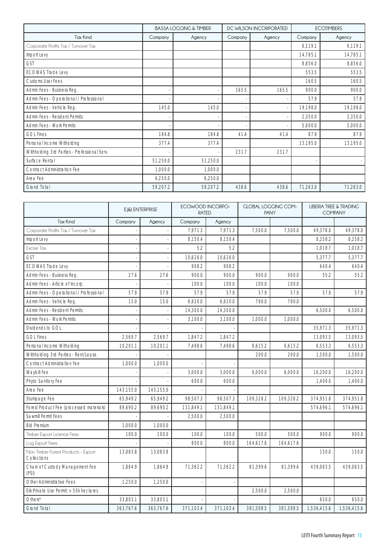|                                              |          | <b>BASSA LOGGING &amp; TIMBER</b> |         | DC WILSON INCORPORATED | <b>ECOTIMBERS</b> |          |  |
|----------------------------------------------|----------|-----------------------------------|---------|------------------------|-------------------|----------|--|
| <b>Tax Kind</b>                              | Company  | Agency                            | Company | Agency                 | Company           | Agency   |  |
| Corporate Profits Tax / Turnover Tax         |          |                                   |         |                        | 6,119.1           | 6,119.1  |  |
| Import Levy                                  |          |                                   |         |                        | 14,785.1          | 14,785.1 |  |
| <b>GST</b>                                   |          |                                   |         |                        | 8,856.0           | 8,856.0  |  |
| ECOWAS Trade Levy                            |          |                                   |         |                        | 553.5             | 553.5    |  |
| Customs User Fees                            |          |                                   |         |                        | 160.5             | 160.5    |  |
| Admin Fees - Business Reg.                   |          |                                   | 165.5   | 165.5                  | 900.0             | 900.0    |  |
| Admin Fees - Operational / Professional      |          |                                   |         |                        | 57.9              | 57.9     |  |
| Admin Fees - Vehicle Reg.                    | 145.0    | 145.0                             |         |                        | 19,198.0          | 19,198.0 |  |
| Admin Fees - Resident Permits                |          |                                   |         |                        | 2,350.0           | 2,350.0  |  |
| Admin Fees - Work Permits                    |          |                                   |         |                        | 5,000.0           | 5,000.0  |  |
| <b>GOL Fines</b>                             | 184.8    | 184.8                             | 41.4    | 41.4                   | 87.9              | 87.9     |  |
| Personal Income Witholding                   | 377.4    | 377.4                             |         |                        | 13,195.0          | 13,195.0 |  |
| Withholding 3rd Parties - Professional Serv. |          |                                   | 231.7   | 231.7                  |                   |          |  |
| Surface Rental                               | 51,250.0 | 51,250.0                          |         |                        |                   |          |  |
| <b>Contract Administration Fee</b>           | 1,000.0  | 1,000.0                           |         |                        |                   |          |  |
| Area Fee                                     | 6,250.0  | 6,250.0                           |         |                        |                   |          |  |
| Grand Total                                  | 59,207.2 | 59,207.2                          | 438.6   | 438.6                  | 71,263.0          | 71,263.0 |  |

|                                                    | E.J&J ENTERPRISE |           | ECOWOOD INCORPO-<br><b>RATED</b> |           | <b>GLOBAL LOGGING COM-</b><br><b>PANY</b> |           | LIBERIA TREE & TRADING<br><b>COMPANY</b> |             |
|----------------------------------------------------|------------------|-----------|----------------------------------|-----------|-------------------------------------------|-----------|------------------------------------------|-------------|
| <b>Tax Kind</b>                                    | Company          | Agency    | Company                          | Agency    |                                           |           |                                          |             |
| Corporate Profits Tax / Turnover Tax               |                  |           | 7,971.3                          | 7,971.3   | 7,500.0                                   | 7,500.0   | 49,378.0                                 | 49,378.0    |
| Import Levy                                        |                  |           | 8,150.4                          | 8,150.4   |                                           |           | 8,258.2                                  | 8,258.2     |
| Excise Tax                                         |                  |           | 5.2                              | 5.2       |                                           |           | 1.018.7                                  | 1.018.7     |
| <b>GST</b>                                         |                  |           | 10,626.0                         | 10,626.0  |                                           |           | 5,377.7                                  | 5,377.7     |
| <b>ECOWAS Trade Levy</b>                           |                  |           | 908.2                            | 908.2     |                                           |           | 640.4                                    | 640.4       |
| Admin Fees - Business Reg.                         | 27.6             | 27.6      | 900.0                            | 900.0     | 900.0                                     | 900.0     | 55.2                                     | 55.2        |
| Admin Fees - Article of Incorp.                    |                  |           | 100.0                            | 100.0     | 100.0                                     | 100.0     |                                          |             |
| Admin Fees - Operational / Professional            | 57.9             | 57.9      | 57.9                             | 57.9      | 57.9                                      | 57.9      | 57.9                                     | 57.9        |
| Admin Fees - Vehicle Reg.                          | 15.0             | 15.0      | 6,920.0                          | 6,920.0   | 790.0                                     | 790.0     |                                          |             |
| Admin Fees - Resident Permits                      |                  |           | 14,300.0                         | 14,300.0  |                                           |           | 6.500.0                                  | 6,500.0     |
| Admin Fees - Work Permits                          |                  |           | 3,100.0                          | 3,100.0   | 1,000.0                                   | 1,000.0   |                                          |             |
| Dividends to GOL                                   |                  |           |                                  |           |                                           |           | 35,971.3                                 | 35,971.3    |
| <b>GOL Fines</b>                                   | 2,569.7          | 2,569.7   | 1,847.2                          | 1,847.2   |                                           |           | 13,093.5                                 | 13,093.5    |
| Personal Income Witholding                         | 10,201.1         | 10,201.1  | 7.498.6                          | 7.498.6   | 6,615.2                                   | 6,615.2   | 6,553.3                                  | 6,553.3     |
| Withholding 3rd Parties - Rent/Lease.              |                  |           |                                  |           | 200.0                                     | 200.0     | 1,500.0                                  | 1,500.0     |
| <b>Contract Administration Fee</b>                 | 1,000.0          | 1,000.0   |                                  |           |                                           |           |                                          |             |
| Waybill Fee                                        |                  |           | 3.000.0                          | 3.000.0   | 6.000.0                                   | 6.000.0   | 16,200.0                                 | 16,200.0    |
| Phyto Sanitory Fee                                 |                  |           | 600.0                            | 600.0     |                                           |           | 1,400.0                                  | 1,400.0     |
| Area Fee                                           | 143.155.0        | 143.155.0 |                                  |           |                                           |           |                                          |             |
| Stumpage Fee                                       | 65,949.2         | 65,949.2  | 98,507.3                         | 98,507.3  | 109,328.2                                 | 109,328.2 | 374,951.8                                | 374,951.8   |
| Forest Product Fee (processed materials)           | 89,690.2         | 89,690.2  | 131,849.1                        | 131,849.1 |                                           |           | 574,696.1                                | 574,696.1   |
| Sawmill Permit Fees                                |                  |           | 2,500.0                          | 2.500.0   |                                           |           |                                          |             |
| <b>Bid Premium</b>                                 | 1,000.0          | 1,000.0   |                                  |           |                                           |           |                                          |             |
| Timber Export Licence Fees                         | 100.0            | 100.0     | 100.0                            | 100.0     | 500.0                                     | 500.0     | 900.0                                    | 900.0       |
| Log Export Fees                                    |                  |           | 800.0                            | 800.0     | 164,617.6                                 | 164,617.6 |                                          |             |
| Non Timber Forest Products - Export<br>Collections | 13,083.8         | 13,083.8  |                                  |           |                                           |           | 150.0                                    | 150.0       |
| Chain of Custody Management Fee<br>(PSI)           | 1,864.9          | 1,864.9   | 71,362.2                         | 71,362.2  | 81,399.6                                  | 81,399.6  | 439,063.5                                | 439,063.5   |
| Other Administrative Fees                          | 1.250.0          | 1.250.0   |                                  |           |                                           |           |                                          |             |
| EIA: Private Use Permit: > 50k hectares            |                  |           |                                  |           | 2,500.0                                   | 2,500.0   |                                          |             |
| Others*                                            | 33,803.1         | 33,803.1  |                                  |           |                                           |           | 650.0                                    | 650.0       |
| <b>Grand Total</b>                                 | 363,767.6        | 363,767.6 | 371,103.4                        | 371,103.4 | 381,508.5                                 | 381,508.5 | 1,536,415.6                              | 1,536,415.6 |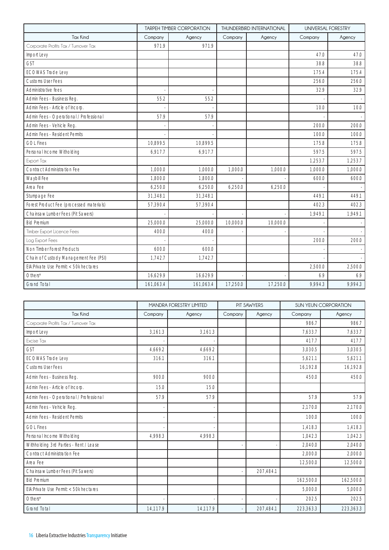|                                          |           | <b>TARPEH TIMBER CORPORATION</b> |          | <b>THUNDERBIRD INTERNATIONAL</b> | UNIVERSAL FORESTRY |         |  |
|------------------------------------------|-----------|----------------------------------|----------|----------------------------------|--------------------|---------|--|
| <b>Tax Kind</b>                          | Company   | Agency                           | Company  | Agency                           | Company            | Agency  |  |
| Corporate Profits Tax / Turnover Tax     | 971.9     | 971.9                            |          |                                  |                    |         |  |
| Import Levy                              |           |                                  |          |                                  | 47.0               | 47.0    |  |
| <b>GST</b>                               |           |                                  |          |                                  | 38.8               | 38.8    |  |
| <b>ECOWAS Trade Levy</b>                 |           |                                  |          |                                  | 175.4              | 175.4   |  |
| <b>Customs User Fees</b>                 |           |                                  |          |                                  | 256.0              | 256.0   |  |
| Administrative fees                      |           |                                  |          |                                  | 32.9               | 32.9    |  |
| Admin Fees - Business Reg.               | 55.2      | 55.2                             |          |                                  |                    |         |  |
| Admin Fees - Article of Incorp.          |           |                                  |          |                                  | 10.0               | 10.0    |  |
| Admin Fees - Operational / Professional  | 57.9      | 57.9                             |          |                                  |                    |         |  |
| Admin Fees - Vehicle Reg.                |           |                                  |          |                                  | 200.0              | 200.0   |  |
| Admin Fees - Resident Permits            |           |                                  |          |                                  | 100.0              | 100.0   |  |
| <b>GOL Fines</b>                         | 10.899.5  | 10.899.5                         |          |                                  | 175.8              | 175.8   |  |
| Personal Income Witholding               | 6,917.7   | 6,917.7                          |          |                                  | 597.5              | 597.5   |  |
| Export Tax                               |           |                                  |          |                                  | 1,253.7            | 1,253.7 |  |
| <b>Contract Administration Fee</b>       | 1,000.0   | 1,000.0                          | 1,000.0  | 1,000.0                          | 1,000.0            | 1,000.0 |  |
| Waybill Fee                              | 1.800.0   | 1.800.0                          |          |                                  | 600.0              | 600.0   |  |
| Area Fee                                 | 6,250.0   | 6,250.0                          | 6,250.0  | 6,250.0                          |                    |         |  |
| Stumpage Fee                             | 31,348.1  | 31,348.1                         |          |                                  | 449.1              | 449.1   |  |
| Forest Product Fee (processed materials) | 57.390.4  | 57.390.4                         |          |                                  | 402.3              | 402.3   |  |
| Chainsaw Lumber Fees (Pit Sawers)        |           |                                  |          |                                  | 1,949.1            | 1,949.1 |  |
| <b>Bid Premium</b>                       | 25.000.0  | 25,000.0                         | 10.000.0 | 10,000.0                         |                    |         |  |
| Timber Export Licence Fees               | 400.0     | 400.0                            |          |                                  |                    |         |  |
| Log Export Fees                          |           |                                  |          |                                  | 200.0              | 200.0   |  |
| Non Timber Forest Products               | 600.0     | 600.0                            |          |                                  |                    |         |  |
| Chain of Custody Management Fee (PSI)    | 1,742.7   | 1,742.7                          |          |                                  |                    |         |  |
| EIA: Private Use Permit: < 50k hectares  |           |                                  |          |                                  | 2,500.0            | 2,500.0 |  |
| Others*                                  | 16,629.9  | 16,629.9                         |          |                                  | 6.9                | 6.9     |  |
| <b>Grand Total</b>                       | 161,063.4 | 161,063.4                        | 17,250.0 | 17,250.0                         | 9.994.3            | 9.994.3 |  |

|                                         |          | <b>MANDRA FORESTRY LIMITED</b> |         | PIT SAWYERS | <b>SUN YEUN CORPORATION</b> |           |  |
|-----------------------------------------|----------|--------------------------------|---------|-------------|-----------------------------|-----------|--|
| <b>Tax Kind</b>                         | Company  | Agency                         | Company | Agency      | Company                     | Agency    |  |
| Corporate Profits Tax / Turnover Tax    |          |                                |         |             | 986.7                       | 986.7     |  |
| Import Levy                             | 3,161.3  | 3,161.3                        |         |             | 7,633.7                     | 7,633.7   |  |
| Excise Tax                              |          |                                |         |             | 417.7                       | 417.7     |  |
| <b>GST</b>                              | 4.669.2  | 4.669.2                        |         |             | 3.030.5                     | 3.030.5   |  |
| <b>ECOWAS Trade Levy</b>                | 316.1    | 316.1                          |         |             | 5,621.1                     | 5,621.1   |  |
| <b>Customs User Fees</b>                |          |                                |         |             | 16,192.8                    | 16,192.8  |  |
| Admin Fees - Business Reg.              | 900.0    | 900.0                          |         |             | 450.0                       | 450.0     |  |
| Admin Fees - Article of Incorp.         | 15.0     | 15.0                           |         |             |                             |           |  |
| Admin Fees - Operational / Professional | 57.9     | 57.9                           |         |             | 57.9                        | 57.9      |  |
| Admin Fees - Vehicle Reg.               |          |                                |         |             | 2.170.0                     | 2.170.0   |  |
| Admin Fees - Resident Permits           |          |                                |         |             | 100.0                       | 100.0     |  |
| <b>GOL Fines</b>                        |          |                                |         |             | 1.418.3                     | 1.418.3   |  |
| Personal Income Witholding              | 4.998.3  | 4.998.3                        |         |             | 1.042.3                     | 1,042.3   |  |
| Withholding 3rd Parties - Rent / Lease  |          |                                |         |             | 2,040.0                     | 2,040.0   |  |
| <b>Contract Administration Fee</b>      |          |                                |         |             | 2,000.0                     | 2,000.0   |  |
| Area Fee                                |          |                                |         |             | 12,500.0                    | 12,500.0  |  |
| Chainsaw Lumber Fees (Pit Sawers)       |          |                                |         | 207,484.1   |                             |           |  |
| <b>Bid Premium</b>                      |          |                                |         |             | 162,500.0                   | 162,500.0 |  |
| EIA: Private Use Permit: < 50k hectares |          |                                |         |             | 5,000.0                     | 5,000.0   |  |
| Others*                                 |          |                                |         |             | 202.5                       | 202.5     |  |
| <b>Grand Total</b>                      | 14,117.9 | 14,117.9                       |         | 207,484.1   | 223,363.3                   | 223,363.3 |  |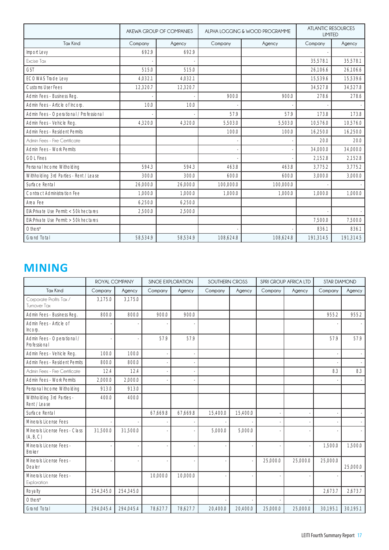|                                         |          | AKEWA GROUP OF COMPANIES |           | ALPHA LOGGING & WOOD PROGRAMME | <b>ATLANTIC RESOURCES</b><br><b>LIMITED</b> |           |
|-----------------------------------------|----------|--------------------------|-----------|--------------------------------|---------------------------------------------|-----------|
| <b>Tax Kind</b>                         | Company  | Agency                   | Company   | Agency                         | Company                                     | Agency    |
| Import Levy                             | 692.9    | 692.9                    |           |                                |                                             |           |
| Excise Tax                              |          |                          |           |                                | 35.578.1                                    | 35.578.1  |
| <b>GST</b>                              | 515.0    | 515.0                    |           |                                | 26.106.6                                    | 26,106.6  |
| <b>ECOWAS Trade Levy</b>                | 4.032.1  | 4,032.1                  |           |                                | 15,539.6                                    | 15,539.6  |
| Customs User Fees                       | 12,320.7 | 12,320.7                 |           |                                | 34,527.8                                    | 34,527.8  |
| Admin Fees - Business Reg.              |          |                          | 900.0     | 900.0                          | 278.6                                       | 278.6     |
| Admin Fees - Article of Incorp.         | 10.0     | 10.0                     |           |                                |                                             |           |
| Admin Fees - Operational / Professional |          |                          | 57.9      | 57.9                           | 173.8                                       | 173.8     |
| Admin Fees - Vehicle Reg.               | 4,320.0  | 4,320.0                  | 5,503.0   | 5,503.0                        | 10,576.0                                    | 10,576.0  |
| Admin Fees - Resident Permits           |          |                          | 100.0     | 100.0                          | 16,250.0                                    | 16,250.0  |
| Admin Fees - Fire Certificate           |          |                          |           |                                | 20.0                                        | 20.0      |
| <b>Admin Fees - Work Permits</b>        |          |                          |           |                                | 34,000.0                                    | 34,000.0  |
| <b>GOL Fines</b>                        |          |                          |           |                                | 2,152.8                                     | 2,152.8   |
| Personal Income Witholding              | 594.3    | 594.3                    | 463.8     | 463.8                          | 3,775.2                                     | 3,775.2   |
| Withholding 3rd Parties - Rent / Lease  | 300.0    | 300.0                    | 600.0     | 600.0                          | 3,000.0                                     | 3,000.0   |
| Surface Rental                          | 26,000.0 | 26,000.0                 | 100,000.0 | 100,000.0                      |                                             |           |
| <b>Contract Administration Fee</b>      | 1.000.0  | 1.000.0                  | 1.000.0   | 1.000.0                        | 1.000.0                                     | 1.000.0   |
| Area Fee                                | 6.250.0  | 6.250.0                  |           |                                |                                             |           |
| EIA: Private Use Permit: < 50k hectares | 2.500.0  | 2.500.0                  |           |                                |                                             |           |
| EIA: Private Use Permit: > 50k hectares |          |                          |           |                                | 7.500.0                                     | 7.500.0   |
| Others*                                 |          |                          |           |                                | 836.1                                       | 836.1     |
| <b>Grand Total</b>                      | 58,534.9 | 58.534.9                 | 108.624.8 | 108.624.8                      | 191,314.5                                   | 191,314.5 |

## **MINING**

|                                            | ROYAL COMPANY |           | <b>SINOE EXPLORATION</b> |          | SOUTHERN CROSS |          |          | <b>SPRI GROUP AFRICA LTD</b> | <b>STAR DIAMOND</b> |          |
|--------------------------------------------|---------------|-----------|--------------------------|----------|----------------|----------|----------|------------------------------|---------------------|----------|
| <b>Tax Kind</b>                            | Company       | Agency    | Company                  | Agency   | Company        | Agency   | Company  | Agency                       | Company             | Agency   |
| Corporate Profits Tax /<br>Turnover Tax    | 3,175.0       | 3,175.0   |                          |          |                |          |          |                              |                     |          |
| Admin Fees - Business Reg.                 | 800.0         | 800.0     | 900.0                    | 900.0    |                |          |          |                              | 955.2               | 955.2    |
| Admin Fees - Article of<br>Incorp.         |               |           |                          |          |                |          |          |                              |                     |          |
| Admin Fees - Operational /<br>Professional |               |           | 57.9                     | 57.9     |                |          |          |                              | 57.9                | 57.9     |
| Admin Fees - Vehicle Reg.                  | 100.0         | 100.0     |                          |          |                |          |          |                              |                     |          |
| Admin Fees - Resident Permits              | 800.0         | 800.0     |                          |          |                |          |          |                              |                     |          |
| Admin Fees - Fire Certificate              | 12.4          | 12.4      |                          |          |                |          |          |                              | 8.3                 | 8.3      |
| Admin Fees - Work Permits                  | 2,000.0       | 2,000.0   |                          |          |                |          |          |                              |                     |          |
| Personal Income Witholding                 | 913.0         | 913.0     |                          |          |                |          |          |                              |                     |          |
| Withholding 3rd Parties -<br>Rent / Lease  | 400.0         | 400.0     |                          |          |                |          |          |                              |                     |          |
| Surface Rental                             |               |           | 67,669.8                 | 67,669.8 | 15,400.0       | 15,400.0 |          |                              |                     |          |
| Minerals License Fees                      |               |           |                          |          |                |          |          |                              |                     |          |
| Minerals License Fees - Class<br>(A, B, C) | 31.500.0      | 31.500.0  |                          |          | 5.000.0        | 5.000.0  |          |                              |                     |          |
| Minerals License Fees -<br><b>Broker</b>   |               |           |                          |          |                |          |          |                              | 1,500.0             | 1,500.0  |
| Minerals License Fees -<br>Dealer          |               |           |                          |          |                |          | 25,000.0 | 25,000.0                     | 25,000.0            | 25.000.0 |
| Minerals License Fees -<br>Exploration     |               |           | 10,000.0                 | 10,000.0 |                |          |          |                              |                     |          |
| Royalty                                    | 254.345.0     | 254,345.0 |                          |          |                |          |          |                              | 2.673.7             | 2.673.7  |
| Others*                                    |               |           |                          |          |                |          |          |                              |                     |          |
| <b>Grand Total</b>                         | 294,045.4     | 294,045.4 | 78,627.7                 | 78,627.7 | 20,400.0       | 20,400.0 | 25,000.0 | 25,000.0                     | 30,195.1            | 30,195.1 |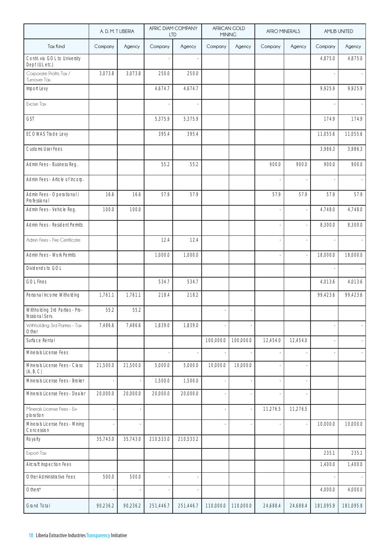|                                                   | A. D. M. T LIBERIA |          | <b>LTD</b> | AFRIC DIAM COMPANY | <b>MINING</b> | AFRICAN GOLD | AFRO MINERALS |          |           | <b>AMLIB UNITED</b> |
|---------------------------------------------------|--------------------|----------|------------|--------------------|---------------|--------------|---------------|----------|-----------|---------------------|
| <b>Tax Kind</b>                                   | Company            | Agency   | Company    | Agency             | Company       | Agency       | Company       | Agency   | Company   | Agency              |
| Contri. via GOL to University<br>Dept (UL etc.)   |                    |          |            |                    |               |              |               |          | 4,875.0   | 4,875.0             |
| Corporate Profits Tax /<br>Turnover Tax           | 3,073.8            | 3,073.8  | 250.0      | 250.0              |               |              |               |          |           |                     |
| Import Levy                                       |                    |          | 4,674.7    | 4,674.7            |               |              |               |          | 9,925.9   | 9,925.9             |
| Excise Tax                                        |                    |          |            |                    |               |              |               |          |           |                     |
| <b>GST</b>                                        |                    |          | 5,375.9    | 5,375.9            |               |              |               |          | 174.9     | 174.9               |
| <b>ECOWAS Trade Levy</b>                          |                    |          | 395.4      | 395.4              |               |              |               |          | 11,055.6  | 11,055.6            |
| <b>Customs User Fees</b>                          |                    |          |            |                    |               |              |               |          | 3,986.3   | 3,986.3             |
| Admin Fees - Business Reg.                        |                    |          | 55.2       | 55.2               |               |              | 900.0         | 900.0    | 900.0     | 900.0               |
| Admin Fees - Article of Incorp.                   |                    |          |            |                    |               |              |               |          |           |                     |
| Admin Fees - Operational /<br>Professional        | 16.6               | 16.6     | 57.9       | 57.9               |               |              | 57.9          | 57.9     | 57.9      | 57.9                |
| Admin Fees - Vehicle Reg.                         | 100.0              | 100.0    |            |                    |               |              |               |          | 4,748.0   | 4,748.0             |
| Admin Fees - Resident Permits                     |                    |          |            |                    |               |              |               |          | 8,300.0   | 8,300.0             |
| Admin Fees - Fire Certificate                     |                    |          | 12.4       | 12.4               |               |              |               |          |           |                     |
| Admin Fees - Work Permits                         |                    |          | 1,000.0    | 1,000.0            |               |              |               |          | 18,000.0  | 18,000.0            |
| Dividends to GOL                                  |                    |          |            |                    |               |              |               |          |           |                     |
| <b>GOL Fines</b>                                  |                    |          | 534.7      | 534.7              |               |              |               |          | 4,013.6   | 4,013.6             |
| Personal Income Witholding                        | 1,761.1            | 1,761.1  | 218.4      | 218.2              |               |              |               |          | 99,423.6  | 99,423.6            |
| Withholding 3rd Parties - Pro-<br>fessional Serv. | 55.2               | 55.2     |            |                    |               |              |               |          |           |                     |
| Withholding 3rd Parties - Tax<br>Other            | 7,486.6            | 7,486.6  | 1,839.0    | 1,839.0            |               |              |               |          |           |                     |
| Surface Rental                                    |                    |          |            |                    | 100,000.0     | 100,000.0    | 12,454.0      | 12,454.0 |           |                     |
| Minerals License Fees                             |                    |          |            |                    |               |              |               |          |           |                     |
| Minerals License Fees - Class<br>(A, B, C)        | 21,500.0           | 21,500.0 | 5,000.0    | 5,000.0            | 10,000.0      | 10,000.0     |               |          |           |                     |
| Minerals License Fees - Broker                    |                    |          | 1,500.0    | 1,500.0            |               |              |               |          |           |                     |
| Minerals License Fees - Dealer                    | 20,000.0           | 20,000.0 | 20,000.0   | 20,000.0           |               |              |               |          |           |                     |
| Minerals License Fees - Ex-<br>ploration          |                    |          |            |                    |               |              | 11,276.5      | 11,276.5 |           |                     |
| Minerals License Fees - Mining<br>Concession      |                    |          |            |                    |               |              |               |          | 10,000.0  | 10,000.0            |
| Royalty                                           | 35,743.0           | 35,743.0 | 210,533.0  | 210,533.2          |               |              |               |          |           |                     |
| Export Tax                                        |                    |          |            |                    |               |              |               |          | 235.1     | 235.1               |
| Aircraft Inspection Fees                          |                    |          |            |                    |               |              |               |          | 1,400.0   | 1,400.0             |
| Other Administrative Fees                         | 500.0              | 500.0    |            |                    |               |              |               |          |           |                     |
| Others*                                           |                    |          |            |                    |               |              |               |          | 4,000.0   | 4,000.0             |
| <b>Grand Total</b>                                | 90,236.2           | 90,236.2 | 251,446.7  | 251,446.7          | 110,000.0     | 110,000.0    | 24,688.4      | 24,688.4 | 181,095.9 | 181,095.9           |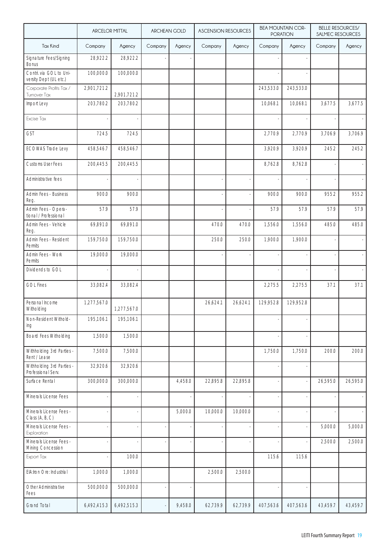|                                                   | <b>ARCELOR MITTAL</b> |             | <b>ARCHEAN GOLD</b> |         |          | <b>BELLE RESOURCES/</b><br><b>BEA MOUNTAIN COR-</b><br><b>ASCENSION RESOURCES</b><br><b>PORATION</b><br>SALMEC RESOURCES |           |           |          |          |
|---------------------------------------------------|-----------------------|-------------|---------------------|---------|----------|--------------------------------------------------------------------------------------------------------------------------|-----------|-----------|----------|----------|
| <b>Tax Kind</b>                                   | Company               | Agency      | Company             | Agency  | Company  | Agency                                                                                                                   | Company   | Agency    | Company  | Agency   |
| Signature Fees/Signing<br><b>Bonus</b>            | 28,922.2              | 28,922.2    |                     |         |          |                                                                                                                          |           |           |          |          |
| Contri. via GOL to Uni-<br>versity Dept (UL etc.) | 100,000.0             | 100,000.0   |                     |         |          |                                                                                                                          |           |           |          |          |
| Corporate Profits Tax /<br>Turnover Tax           | 2,901,721.2           | 2,901,721.2 |                     |         |          |                                                                                                                          | 243,533.0 | 243,533.0 |          |          |
| Import Levy                                       | 203,780.2             | 203,780.2   |                     |         |          |                                                                                                                          | 10,068.1  | 10,068.1  | 3,677.5  | 3,677.5  |
| Excise Tax                                        |                       |             |                     |         |          |                                                                                                                          |           |           |          |          |
| <b>GST</b>                                        | 724.5                 | 724.5       |                     |         |          |                                                                                                                          | 2,770.9   | 2,770.9   | 3,706.9  | 3,706.9  |
| <b>ECOWAS Trade Levy</b>                          | 458,546.7             | 458,546.7   |                     |         |          |                                                                                                                          | 3,920.9   | 3,920.9   | 245.2    | 245.2    |
| <b>Customs User Fees</b>                          | 200,445.5             | 200,445.5   |                     |         |          |                                                                                                                          | 8,762.8   | 8,762.8   |          |          |
| Administrative fees                               |                       |             |                     |         |          |                                                                                                                          |           |           |          |          |
| Admin Fees - Business<br>Reg.                     | 900.0                 | 900.0       |                     |         |          |                                                                                                                          | 900.0     | 900.0     | 955.2    | 955.2    |
| Admin Fees - Opera-<br>tional / Professional      | 57.9                  | 57.9        |                     |         |          |                                                                                                                          | 57.9      | 57.9      | 57.9     | 57.9     |
| Admin Fees - Vehicle<br>Reg.                      | 69,891.0              | 69,891.0    |                     |         | 470.0    | 470.0                                                                                                                    | 1,556.0   | 1,556.0   | 485.0    | 485.0    |
| Admin Fees - Resident<br><b>Permits</b>           | 159,750.0             | 159,750.0   |                     |         | 250.0    | 250.0                                                                                                                    | 1,900.0   | 1,900.0   |          |          |
| Admin Fees - Work<br>Permits                      | 19,000.0              | 19,000.0    |                     |         |          |                                                                                                                          |           |           |          |          |
| Dividends to GOL                                  |                       |             |                     |         |          |                                                                                                                          |           |           |          |          |
| <b>GOL Fines</b>                                  | 33,082.4              | 33,082.4    |                     |         |          |                                                                                                                          | 2,275.5   | 2,275.5   | 37.1     | 37.1     |
| Personal Income<br>Witholding                     | 1,277,567.0           | 1,277,567.0 |                     |         | 26,624.1 | 26,624.1                                                                                                                 | 129,952.8 | 129,952.8 |          |          |
| Non-Resident Withold-<br>ing                      | 195,106.1             | 195,106.1   |                     |         |          |                                                                                                                          |           |           |          |          |
| <b>Board Fees Witholding</b>                      | 1,500.0               | 1,500.0     |                     |         |          |                                                                                                                          |           |           |          |          |
| Withholding 3rd Parties -<br>Rent / Lease         | 7,500.0               | 7,500.0     |                     |         |          |                                                                                                                          | 1,750.0   | 1,750.0   | 200.0    | 200.0    |
| Withholding 3rd Parties -<br>Professional Serv.   | 32,920.6              | 32,920.6    |                     |         |          |                                                                                                                          |           |           |          |          |
| Surface Rental                                    | 300,000.0             | 300,000.0   |                     | 4,458.0 | 22,895.8 | 22,895.8                                                                                                                 |           |           | 26,595.0 | 26,595.0 |
| Minerals License Fees                             |                       |             |                     |         |          |                                                                                                                          |           |           |          |          |
| Minerals License Fees -<br>Class (A, B, C)        |                       |             |                     | 5,000.0 | 10,000.0 | 10,000.0                                                                                                                 |           |           |          |          |
| Minerals License Fees -<br>Exploration            |                       |             |                     |         |          |                                                                                                                          |           |           | 5,000.0  | 5,000.0  |
| Minerals License Fees -<br>Mining Concession      |                       |             |                     |         |          |                                                                                                                          |           |           | 2,500.0  | 2,500.0  |
| Export Tax                                        |                       | 100.0       |                     |         |          |                                                                                                                          | 115.6     | 115.6     |          |          |
| EIA:Iron Ore: Industrial                          | 1,000.0               | 1,000.0     |                     |         | 2,500.0  | 2,500.0                                                                                                                  |           |           |          |          |
| Other Administrative<br>Fees                      | 500,000.0             | 500,000.0   |                     |         |          |                                                                                                                          |           |           |          |          |
| <b>Grand Total</b>                                | 6,492,415.3           | 6,492,515.3 |                     | 9,458.0 | 62,739.9 | 62,739.9                                                                                                                 | 407,563.6 | 407,563.6 | 43,459.7 | 43,459.7 |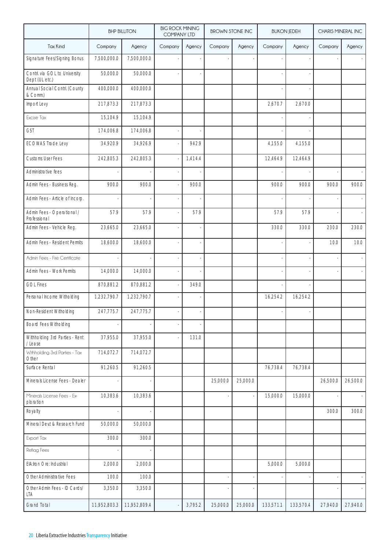|                                                 |              | <b>BHP BILLITON</b> | <b>BIG ROCK MINING</b><br><b>COMPANY LTD</b> |         | <b>BROWN STONE INC</b> |          |           | <b>BUKON JEDEH</b> | CHARIS MINERAL INC |          |
|-------------------------------------------------|--------------|---------------------|----------------------------------------------|---------|------------------------|----------|-----------|--------------------|--------------------|----------|
| <b>Tax Kind</b>                                 | Company      | Agency              | Company                                      | Agency  | Company                | Agency   | Company   | Agency             | Company            | Agency   |
| Signature Fees/Signing Bonus                    | 7,500,000.0  | 7,500,000.0         |                                              |         |                        |          |           |                    |                    |          |
| Contri. via GOL to University<br>Dept (UL etc.) | 50,000.0     | 50,000.0            |                                              |         |                        |          |           |                    |                    |          |
| Annual Social Contri. (County<br>& Comm.)       | 400,000.0    | 400,000.0           |                                              |         |                        |          |           |                    |                    |          |
| Import Levy                                     | 217,873.3    | 217,873.3           |                                              |         |                        |          | 2,670.7   | 2,670.0            |                    |          |
| Excise Tax                                      | 15,104.9     | 15,104.9            |                                              |         |                        |          |           |                    |                    |          |
| <b>GST</b>                                      | 174,006.8    | 174,006.8           |                                              |         |                        |          |           |                    |                    |          |
| <b>ECOWAS Trade Levy</b>                        | 34,920.9     | 34,926.9            |                                              | 942.9   |                        |          | 4,155.0   | 4,155.0            |                    |          |
| Customs User Fees                               | 242,805.3    | 242,805.3           |                                              | 1,414.4 |                        |          | 12,464.9  | 12,464.9           |                    |          |
| Administrative fees                             |              |                     |                                              |         |                        |          |           |                    |                    |          |
| Admin Fees - Business Reg.                      | 900.0        | 900.0               |                                              | 900.0   |                        |          | 900.0     | 900.0              | 900.0              | 900.0    |
| Admin Fees - Article of Incorp.                 |              |                     |                                              |         |                        |          |           |                    |                    |          |
| Admin Fees - Operational /<br>Professional      | 57.9         | 57.9                |                                              | 57.9    |                        |          | 57.9      | 57.9               |                    |          |
| Admin Fees - Vehicle Reg.                       | 23,665.0     | 23,665.0            |                                              |         |                        |          | 330.0     | 330.0              | 230.0              | 230.0    |
| Admin Fees - Resident Permits                   | 18,600.0     | 18,600.0            |                                              |         |                        |          |           |                    | 10.0               | 10.0     |
| Admin Fees - Fire Certificate                   |              |                     |                                              |         |                        |          |           |                    |                    |          |
| Admin Fees - Work Permits                       | 14,000.0     | 14,000.0            |                                              |         |                        |          |           |                    |                    |          |
| <b>GOL Fines</b>                                | 870,881.2    | 870,881.2           |                                              | 349.0   |                        |          |           |                    |                    |          |
| Personal Income Witholding                      | 1,232,790.7  | 1,232,790.7         |                                              |         |                        |          | 16,254.2  | 16,254.2           |                    |          |
| Non-Resident Witholding                         | 247,775.7    | 247,775.7           |                                              |         |                        |          |           |                    |                    |          |
| <b>Board Fees Witholding</b>                    |              |                     |                                              |         |                        |          |           |                    |                    |          |
| Withholding 3rd Parties - Rent<br>/ Lease       | 37,955.0     | 37,955.0            |                                              | 131.0   |                        |          |           |                    |                    |          |
| Withholding 3rd Parties - Tax<br>Other          | 714,072.7    | 714,072.7           |                                              |         |                        |          |           |                    |                    |          |
| Surface Rental                                  | 91,260.5     | 91,260.5            |                                              |         |                        |          | 76,738.4  | 76,738.4           |                    |          |
| Minerals License Fees - Dealer                  |              |                     |                                              |         | 25,000.0               | 25,000.0 |           |                    | 26,500.0           | 26.500.0 |
| Minerals License Fees - Ex-<br>ploration        | 10,383.6     | 10,383.6            |                                              |         |                        |          | 15,000.0  | 15,000.0           |                    |          |
| Royalty                                         |              |                     |                                              |         |                        |          |           |                    | 300.0              | 300.0    |
| Mineral Dev.t & Research Fund                   | 50,000.0     | 50,000.0            |                                              |         |                        |          |           |                    |                    |          |
| Export Tax                                      | 300.0        | 300.0               |                                              |         |                        |          |           |                    |                    |          |
| Reflag Fees                                     |              |                     |                                              |         |                        |          |           |                    |                    |          |
| EIA:Iron Ore: Industrial                        | 2,000.0      | 2,000.0             |                                              |         |                        |          | 5,000.0   | 5,000.0            |                    |          |
| Other Administrative Fees                       | 100.0        | 100.0               |                                              |         |                        | ÷,       |           |                    |                    |          |
| Other Admin Fees - ID Cards/<br>lta             | 3,350.0      | 3,350.0             |                                              |         |                        |          |           |                    |                    |          |
| Grand Total                                     | 11,952,803.3 | 11,952,809.4        |                                              | 3,795.2 | 25,000.0               | 25,000.0 | 133,571.1 | 133,570.4          | 27,940.0           | 27,940.0 |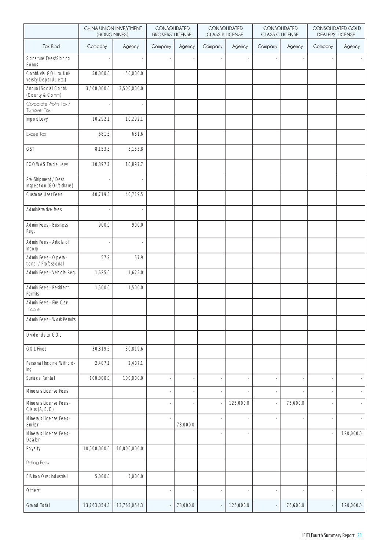|                                                   | (BONG MINES) | CHINA UNION INVESTMENT | CONSOLIDATED<br><b>BROKERS' LICENSE</b> |          |         | CONSOLIDATED<br><b>CLASS B LICENSE</b> | CONSOLIDATED<br>CLASS C LICENSE |          | <b>CONSOLIDATED GOLD</b><br><b>DEALERS' LICENSE</b> |           |
|---------------------------------------------------|--------------|------------------------|-----------------------------------------|----------|---------|----------------------------------------|---------------------------------|----------|-----------------------------------------------------|-----------|
| <b>Tax Kind</b>                                   | Company      | Agency                 | Company                                 | Agency   | Company | Agency                                 | Company                         | Agency   | Company                                             | Agency    |
| Signature Fees/Signing<br>Bonus                   |              |                        |                                         |          |         |                                        |                                 |          |                                                     |           |
| Contri. via GOL to Uni-<br>versity Dept (UL etc.) | 50,000.0     | 50,000.0               |                                         |          |         |                                        |                                 |          |                                                     |           |
| Annual Social Contri.<br>(County & Comm.)         | 3,500,000.0  | 3,500,000.0            |                                         |          |         |                                        |                                 |          |                                                     |           |
| Corporate Profits Tax /<br>Turnover Tax           |              |                        |                                         |          |         |                                        |                                 |          |                                                     |           |
| Import Levy                                       | 10,292.1     | 10,292.1               |                                         |          |         |                                        |                                 |          |                                                     |           |
| Excise Tax                                        | 681.6        | 681.6                  |                                         |          |         |                                        |                                 |          |                                                     |           |
| GST                                               | 8,153.8      | 8,153.8                |                                         |          |         |                                        |                                 |          |                                                     |           |
| <b>ECOWAS Trade Levy</b>                          | 10,897.7     | 10,897.7               |                                         |          |         |                                        |                                 |          |                                                     |           |
| Pre-Shipment / Dest.<br>Inspection (GOL's share)  |              |                        |                                         |          |         |                                        |                                 |          |                                                     |           |
| Customs User Fees                                 | 40,719.5     | 40,719.5               |                                         |          |         |                                        |                                 |          |                                                     |           |
| Administrative fees                               |              |                        |                                         |          |         |                                        |                                 |          |                                                     |           |
| Admin Fees - Business<br>Reg.                     | 900.0        | 900.0                  |                                         |          |         |                                        |                                 |          |                                                     |           |
| Admin Fees - Article of<br>Incorp.                |              |                        |                                         |          |         |                                        |                                 |          |                                                     |           |
| Admin Fees - Opera-<br>tional / Professional      | 57.9         | 57.9                   |                                         |          |         |                                        |                                 |          |                                                     |           |
| Admin Fees - Vehicle Reg.                         | 1,625.0      | 1,625.0                |                                         |          |         |                                        |                                 |          |                                                     |           |
| Admin Fees - Resident<br>Permits                  | 1,500.0      | 1,500.0                |                                         |          |         |                                        |                                 |          |                                                     |           |
| Admin Fees - Fire Cer-<br>tificate                |              |                        |                                         |          |         |                                        |                                 |          |                                                     |           |
| Admin Fees - Work Permits                         |              |                        |                                         |          |         |                                        |                                 |          |                                                     |           |
| Dividends to GOL                                  |              |                        |                                         |          |         |                                        |                                 |          |                                                     |           |
| <b>GOL Fines</b>                                  | 30,819.6     | 30,819.6               |                                         |          |         |                                        |                                 |          |                                                     |           |
| Personal Income Withold-<br>ing                   | 2,407.1      | 2,407.1                |                                         |          |         |                                        |                                 |          |                                                     |           |
| Surface Rental                                    | 100,000.0    | 100,000.0              |                                         |          |         |                                        |                                 |          |                                                     |           |
| Minerals License Fees                             |              |                        |                                         |          |         |                                        |                                 |          |                                                     |           |
| Minerals License Fees -<br>Class (A, B, C)        |              |                        |                                         |          |         | 125,000.0                              |                                 | 75,600.0 |                                                     |           |
| Minerals License Fees -<br><b>Broker</b>          |              |                        |                                         | 78,000.0 |         |                                        |                                 |          |                                                     |           |
| Minerals License Fees -<br>Dealer                 |              |                        |                                         |          |         |                                        |                                 |          |                                                     | 120,000.0 |
| Royalty                                           | 10,000,000.0 | 10,000,000.0           |                                         |          |         |                                        |                                 |          |                                                     |           |
| Reflag Fees                                       |              |                        |                                         |          |         |                                        |                                 |          |                                                     |           |
| EIA:Iron Ore: Industrial                          | 5,000.0      | 5,000.0                |                                         |          |         |                                        |                                 |          |                                                     |           |
| Others*                                           |              |                        |                                         |          |         |                                        | ÷,                              |          |                                                     | ÷.        |
| <b>Grand Total</b>                                | 13,763,054.3 | 13,763,054.3           |                                         | 78,000.0 |         | 125,000.0                              | $\overline{\phantom{a}}$        | 75,600.0 |                                                     | 120,000.0 |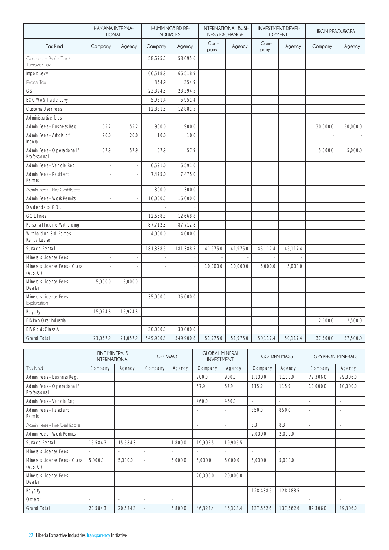|                                            | HAMANA INTERNA-<br><b>TIONAL</b> |          |           | HUMMINGBIRD RE-<br><b>SOURCES</b> | <b>INTERNATIONAL BUSI-</b><br><b>NESS EXCHANGE</b> |          | <b>INVESTMENT DEVEL-</b><br><b>OPMENT</b> |          | <b>IRON RESOURCES</b> |          |
|--------------------------------------------|----------------------------------|----------|-----------|-----------------------------------|----------------------------------------------------|----------|-------------------------------------------|----------|-----------------------|----------|
| <b>Tax Kind</b>                            | Company                          | Agency   | Company   | Agency                            | Com-<br>pany                                       | Agency   | Com-<br>pany                              | Agency   | Company               | Agency   |
| Corporate Profits Tax /<br>Turnover Tax    |                                  |          | 58,695.6  | 58,695.6                          |                                                    |          |                                           |          |                       |          |
| Import Levy                                |                                  |          | 66,518.9  | 66,518.9                          |                                                    |          |                                           |          |                       |          |
| Excise Tax                                 |                                  |          | 354.9     | 354.9                             |                                                    |          |                                           |          |                       |          |
| GST                                        |                                  |          | 23,394.5  | 23,394.5                          |                                                    |          |                                           |          |                       |          |
| <b>ECOWAS Trade Levy</b>                   |                                  |          | 5,951.4   | 5,951.4                           |                                                    |          |                                           |          |                       |          |
| <b>Customs User Fees</b>                   |                                  |          | 12,881.5  | 12,881.5                          |                                                    |          |                                           |          |                       |          |
| Administrative fees                        |                                  |          |           |                                   |                                                    |          |                                           |          |                       |          |
| Admin Fees - Business Reg.                 | 55.2                             | 55.2     | 900.0     | 900.0                             |                                                    |          |                                           |          | 30,000.0              | 30,000.0 |
| Admin Fees - Article of<br>Incorp.         | 20.0                             | 20.0     | 10.0      | 10.0                              |                                                    |          |                                           |          |                       |          |
| Admin Fees - Operational /<br>Professional | 57.9                             | 57.9     | 57.9      | 57.9                              |                                                    |          |                                           |          | 5,000.0               | 5,000.0  |
| Admin Fees - Vehicle Reg.                  |                                  |          | 6,591.0   | 6,591.0                           |                                                    |          |                                           |          |                       |          |
| Admin Fees - Resident<br><b>Permits</b>    |                                  |          | 7.475.0   | 7.475.0                           |                                                    |          |                                           |          |                       |          |
| Admin Fees - Fire Certificate              |                                  |          | 300.0     | 300.0                             |                                                    |          |                                           |          |                       |          |
| Admin Fees - Work Permits                  |                                  |          | 16,000.0  | 16,000.0                          |                                                    |          |                                           |          |                       |          |
| Dividends to GOL                           |                                  |          |           |                                   |                                                    |          |                                           |          |                       |          |
| <b>GOL Fines</b>                           |                                  |          | 12,668.8  | 12,668.8                          |                                                    |          |                                           |          |                       |          |
| Personal Income Witholding                 |                                  |          | 87,712.8  | 87,712.8                          |                                                    |          |                                           |          |                       |          |
| Withholding 3rd Parties -<br>Rent / Lease  |                                  |          | 4,000.0   | 4,000.0                           |                                                    |          |                                           |          |                       |          |
| Surface Rental                             |                                  |          | 181,388.5 | 181,388.5                         | 41,975.0                                           | 41,975.0 | 45.117.4                                  | 45.117.4 |                       |          |
| Minerals License Fees                      |                                  |          |           |                                   |                                                    |          |                                           |          |                       |          |
| Minerals License Fees - Class<br>(A, B, C) |                                  |          |           |                                   | 10,000.0                                           | 10,000.0 | 5,000.0                                   | 5,000.0  |                       |          |
| Minerals License Fees -<br>Dealer          | 5,000.0                          | 5,000.0  |           |                                   |                                                    |          |                                           |          |                       |          |
| Minerals License Fees -<br>Exploration     |                                  |          | 35,000.0  | 35,000.0                          |                                                    |          |                                           |          |                       |          |
| Royalty                                    | 15,924.8                         | 15,924.8 |           |                                   |                                                    |          |                                           |          |                       |          |
| ElA:Iron Ore: Industrial                   |                                  |          |           |                                   |                                                    |          |                                           |          | 2,500.0               | 2,500.0  |
| EIA:Gold: Class A                          |                                  |          | 30,000.0  | 30,000.0                          |                                                    |          |                                           |          |                       |          |
| <b>Grand Total</b>                         | 21,057.9                         | 21,057.9 | 549,900.8 | 549,900.8                         | 51,975.0                                           | 51,975.0 | 50,117.4                                  | 50,117.4 | 37,500.0              | 37,500.0 |

|                                            | <b>FINE MINERALS</b><br><b>INTERNATIONAL</b> |          | $G-4$ WAO |         | <b>GLOBAL MINERAL</b><br><b>INVESTMENT</b> |          |           | <b>GOLDEN MASS</b><br><b>GRYPHON MINERALS</b> |          |          |
|--------------------------------------------|----------------------------------------------|----------|-----------|---------|--------------------------------------------|----------|-----------|-----------------------------------------------|----------|----------|
| Tax Kind                                   | Company                                      | Agency   | Company   | Agency  | Company                                    | Agency   | Company   | Agency                                        | Company  | Agency   |
| Admin Fees - Business Reg.                 |                                              |          |           |         | 900.0                                      | 900.0    | 1,100.0   | 1,100.0                                       | 79,306.0 | 79,306.0 |
| Admin Fees - Operational /<br>Professional |                                              |          |           |         | 57.9                                       | 57.9     | 115.9     | 115.9                                         | 10.000.0 | 10,000.0 |
| Admin Fees - Vehicle Reg.                  |                                              |          |           |         | 460.0                                      | 460.0    |           |                                               |          |          |
| Admin Fees - Resident<br>Permits           |                                              |          |           |         |                                            |          | 850.0     | 850.0                                         |          |          |
| Admin Fees - Fire Certificate              |                                              |          |           |         |                                            | ٠        | 8.3       | 8.3                                           |          | ٠        |
| Admin Fees - Work Permits                  |                                              |          |           |         |                                            | ÷.       | 2.000.0   | 2,000.0                                       |          | ٠        |
| Surface Rental                             | 15,584.3                                     | 15,584.3 |           | 1,800.0 | 19,905.5                                   | 19,905.5 |           |                                               |          |          |
| Minerals License Fees                      |                                              |          |           |         |                                            |          |           |                                               |          |          |
| Minerals License Fees - Class<br>(A, B, C) | 5.000.0                                      | 5.000.0  | ä,        | 5,000.0 | 5,000.0                                    | 5,000.0  | 5,000.0   | 5,000.0                                       |          |          |
| Minerals License Fees -<br>Dealer          | ä,                                           |          |           |         | 20,000.0                                   | 20,000.0 | ×.        |                                               |          |          |
| Royalty                                    |                                              |          |           | ٠       |                                            |          | 128,488.5 | 128.488.5                                     |          |          |
| $Other*$                                   |                                              |          |           |         |                                            |          |           |                                               |          |          |
| Grand Total                                | 20,584.3                                     | 20,584.3 |           | 6,800.0 | 46,323.4                                   | 46,323.4 | 137,562.6 | 137,562.6                                     | 89,306.0 | 89,306.0 |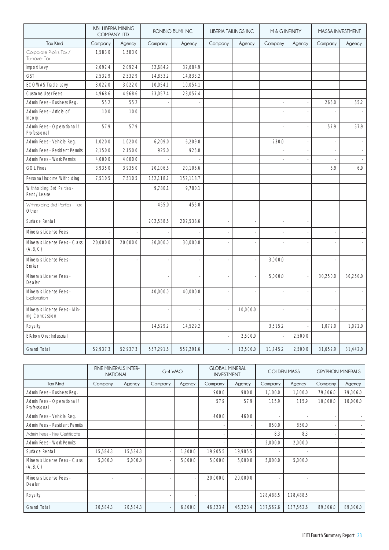|                                                | <b>KBL LIBERIA MINING</b><br><b>COMPANY LTD</b> |          |           | <b>KONBLO BUMI INC</b> | <b>LIBERIA TAILINGS INC</b> |          | M& G INFINITY |         | MASSA INVESTMENT |          |
|------------------------------------------------|-------------------------------------------------|----------|-----------|------------------------|-----------------------------|----------|---------------|---------|------------------|----------|
| <b>Tax Kind</b>                                | Company                                         | Agency   | Company   | Agency                 | Company                     | Agency   | Company       | Agency  | Company          | Agency   |
| Corporate Profits Tax /<br>Turnover Tax        | 1,583.0                                         | 1,583.0  |           |                        |                             |          |               |         |                  |          |
| Import Levy                                    | 2,092.4                                         | 2,092.4  | 32,684.9  | 32,684.9               |                             |          |               |         |                  |          |
| <b>GST</b>                                     | 2,532.9                                         | 2,532.9  | 14,833.2  | 14,833.2               |                             |          |               |         |                  |          |
| <b>ECOWAS Trade Levy</b>                       | 3,022.0                                         | 3,022.0  | 10,054.1  | 10,054.1               |                             |          |               |         |                  |          |
| <b>Customs User Fees</b>                       | 4,968.6                                         | 4,968.6  | 23,057.4  | 23,057.4               |                             |          |               |         |                  |          |
| Admin Fees - Business Reg.                     | 55.2                                            | 55.2     |           |                        |                             |          |               |         | 266.0            | 55.2     |
| Admin Fees - Article of<br>Incorp.             | 10.0                                            | 10.0     |           |                        |                             |          |               |         |                  |          |
| Admin Fees - Operational /<br>Professional     | 57.9                                            | 57.9     |           |                        |                             |          |               |         | 57.9             | 57.9     |
| Admin Fees - Vehicle Reg.                      | 1,020.0                                         | 1,020.0  | 6,209.0   | 6,209.0                |                             |          | 230.0         |         |                  |          |
| Admin Fees - Resident Permits                  | 2,150.0                                         | 2,150.0  | 925.0     | 925.0                  |                             |          |               |         |                  |          |
| Admin Fees - Work Permits                      | 4,000.0                                         | 4,000.0  |           |                        |                             |          |               |         |                  |          |
| <b>GOL Fines</b>                               | 3,935.0                                         | 3,935.0  | 20,106.6  | 20,106.6               |                             |          |               |         | 6.9              | 6.9      |
| Personal Income Witholding                     | 7,510.5                                         | 7,510.5  | 152,118.7 | 152,118.7              |                             |          |               |         |                  |          |
| Withholding 3rd Parties -<br>Rent / Lease      |                                                 |          | 9,780.1   | 9,780.1                |                             |          |               |         |                  |          |
| Withholding 3rd Parties - Tax<br>Other         |                                                 |          | 455.0     | 455.0                  |                             |          |               |         |                  |          |
| Surface Rental                                 |                                                 |          | 202,538.6 | 202,538.6              |                             |          |               |         |                  |          |
| Minerals License Fees                          |                                                 |          |           |                        |                             |          |               |         |                  |          |
| Minerals License Fees - Class<br>(A, B, C)     | 20,000.0                                        | 20,000.0 | 30,000.0  | 30,000.0               |                             |          |               |         |                  |          |
| Minerals License Fees -<br><b>Broker</b>       |                                                 |          |           |                        |                             | ł,       | 3,000.0       |         |                  |          |
| Minerals License Fees -<br>Dealer              |                                                 |          |           |                        |                             |          | 5,000.0       |         | 30,250.0         | 30,250.0 |
| Minerals License Fees -<br>Exploration         |                                                 |          | 40,000.0  | 40,000.0               |                             |          |               |         |                  |          |
| Minerals License Fees - Min-<br>ing Concession |                                                 |          |           |                        |                             | 10.000.0 |               |         |                  |          |
| Royalty                                        |                                                 |          | 14,529.2  | 14,529.2               |                             |          | 3,515.2       |         | 1,072.0          | 1,072.0  |
| EIA:Iron Ore: Industrial                       |                                                 |          |           |                        |                             | 2,500.0  |               | 2,500.0 |                  |          |
| <b>Grand Total</b>                             | 52,937.3                                        | 52,937.3 | 557,291.6 | 557,291.6              |                             | 12,500.0 | 11,745.2      | 2,500.0 | 31,652.9         | 31,442.0 |

|                                            |          | FINE MINERALS INTER-<br><b>NATIONAL</b> | G-4 WAO |         | <b>GLOBAL MINERAL</b><br><b>INVESTMENT</b> |          | <b>GOLDEN MASS</b> |           | <b>GRYPHON MINERALS</b> |          |
|--------------------------------------------|----------|-----------------------------------------|---------|---------|--------------------------------------------|----------|--------------------|-----------|-------------------------|----------|
| <b>Tax Kind</b>                            | Company  | Agency                                  | Company | Agency  | Company                                    | Agency   | Company<br>Agency  |           | Company                 | Agency   |
| Admin Fees - Business Reg.                 |          |                                         |         |         | 900.0                                      | 900.0    | 1.100.0            | 1,100.0   | 79,306.0                | 79,306.0 |
| Admin Fees - Operational /<br>Professional |          |                                         |         |         | 57.9                                       | 57.9     | 115.9              | 115.9     | 10,000.0                | 10,000.0 |
| Admin Fees - Vehicle Reg.                  |          |                                         |         |         | 460.0                                      | 460.0    |                    |           |                         |          |
| Admin Fees - Resident Permits              |          |                                         |         |         |                                            |          | 850.0              | 850.0     |                         |          |
| Admin Fees - Fire Certificate              |          |                                         |         |         |                                            |          | 8.3                | 8.3       |                         |          |
| Admin Fees - Work Permits                  |          |                                         |         |         |                                            |          | 2,000.0            | 2,000.0   |                         |          |
| Surface Rental                             | 15,584.3 | 15,584.3                                |         | 1,800.0 | 19,905.5                                   | 19.905.5 |                    |           |                         |          |
| Minerals License Fees - Class<br>(A, B, C) | 5,000.0  | 5,000.0                                 |         | 5,000.0 | 5,000.0                                    | 5,000.0  | 5,000.0            | 5,000.0   |                         |          |
| Minerals License Fees -<br>Dealer          |          |                                         |         |         | 20,000.0                                   | 20,000.0 |                    |           |                         |          |
| Royalty                                    |          |                                         |         |         |                                            |          | 128.488.5          | 128.488.5 |                         |          |
| <b>Grand Total</b>                         | 20,584.3 | 20,584.3                                |         | 6,800.0 | 46,323.4                                   | 46,323.4 | 137,562.6          | 137,562.6 | 89,306.0                | 89,306.0 |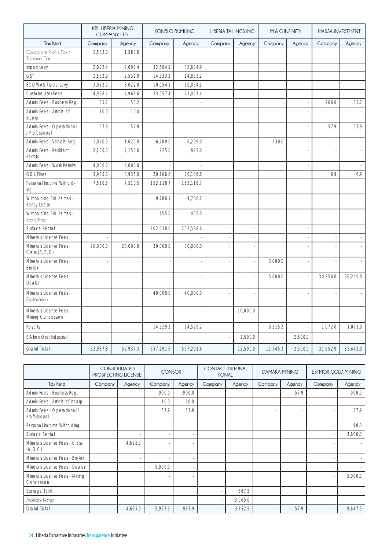|                                              |          | <b>KBL LIBERIA MINING</b><br><b>COMPANY LTD</b> |           | <b>KONBLO BUMI INC</b> | <b>LIBERIA TAILINGS INC</b> |          |          | M& G INFINITY |          | MASSA INVESTMENT |
|----------------------------------------------|----------|-------------------------------------------------|-----------|------------------------|-----------------------------|----------|----------|---------------|----------|------------------|
| <b>Tax Kind</b>                              | Company  | Agency                                          | Company   | Agency                 | Company                     | Agency   | Company  | Agency        | Company  | Agency           |
| Corporate Profits Tax /<br>Turnover Tax      | 1,583.0  | 1,583.0                                         |           |                        |                             |          |          |               |          |                  |
| Import Levy                                  | 2,092.4  | 2,092.4                                         | 32,684.9  | 32,684.9               |                             |          |          |               |          |                  |
| <b>GST</b>                                   | 2,532.9  | 2,532.9                                         | 14,833.2  | 14,833.2               |                             |          |          |               |          |                  |
| <b>ECOWAS Trade Levy</b>                     | 3,022.0  | 3,022.0                                         | 10,054.1  | 10,054.1               |                             |          |          |               |          |                  |
| <b>Customs User Fees</b>                     | 4,968.6  | 4,968.6                                         | 23,057.4  | 23,057.4               |                             |          |          |               |          |                  |
| Admin Fees - Business Reg.                   | 55.2     | 55.2                                            |           |                        |                             |          |          |               | 266.0    | 55.2             |
| Admin Fees - Article of<br>Incorp.           | 10.0     | 10.0                                            |           |                        |                             |          |          |               |          |                  |
| Admin Fees - Operational<br>/ Professional   | 57.9     | 57.9                                            |           |                        |                             |          |          |               | 57.9     | 57.9             |
| Admin Fees - Vehicle Reg.                    | 1,020.0  | 1,020.0                                         | 6,209.0   | 6,209.0                |                             |          | 230.0    |               |          |                  |
| Admin Fees - Resident<br>Permits             | 2,150.0  | 2,150.0                                         | 925.0     | 925.0                  |                             |          |          |               |          |                  |
| Admin Fees - Work Permits                    | 4,000.0  | 4,000.0                                         |           |                        |                             |          |          |               |          |                  |
| <b>GOL Fines</b>                             | 3,935.0  | 3,935.0                                         | 20,106.6  | 20,106.6               |                             |          |          |               | 6.9      | 6.9              |
| Personal Income Withold-<br>ing              | 7,510.5  | 7,510.5                                         | 152,118.7 | 152,118.7              |                             |          |          |               |          |                  |
| Withholding 3rd Parties -<br>Rent / Lease    |          |                                                 | 9,780.1   | 9,780.1                |                             |          |          |               |          |                  |
| Withholding 3rd Parties -<br>Tax Other       |          |                                                 | 455.0     | 455.0                  |                             |          |          |               |          |                  |
| Surface Rental                               |          |                                                 | 202,538.6 | 202,538.6              |                             |          |          |               |          |                  |
| Minerals License Fees                        |          |                                                 |           |                        |                             |          |          |               |          |                  |
| Minerals License Fees -<br>Class (A, B, C)   | 20,000.0 | 20,000.0                                        | 30,000.0  | 30,000.0               |                             |          |          |               |          |                  |
| Minerals License Fees -<br><b>Broker</b>     |          |                                                 |           |                        |                             |          | 3,000.0  |               |          |                  |
| Minerals License Fees -<br>Dealer            |          |                                                 |           |                        |                             |          | 5,000.0  |               | 30,250.0 | 30.250.0         |
| Minerals License Fees -<br>Exploration       |          |                                                 | 40,000.0  | 40,000.0               |                             |          |          |               |          |                  |
| Minerals License Fees -<br>Mining Concession |          |                                                 |           |                        |                             | 10,000.0 |          |               |          |                  |
| Royalty                                      |          |                                                 | 14,529.2  | 14,529.2               |                             |          | 3,515.2  |               | 1,072.0  | 1,072.0          |
| EIA:Iron Ore: Industrial                     |          |                                                 |           |                        |                             | 2,500.0  |          | 2,500.0       |          |                  |
| <b>Grand Total</b>                           | 52.937.3 | 52,937.3                                        | 557,291.6 | 557,291.6              |                             | 12,500.0 | 11,745.2 | 2,500.0       | 31,652.9 | 31,442.0         |

|                                              | CONSOLIDATED<br>PROSPECTING LICENSE |         | <b>CONSOR</b> |        | <b>CONTACT INTERNA-</b><br><b>TIONAL</b> |         | <b>DAMAKA MINING</b> |        | <b>ESTMOR GOLD MINING</b> |         |
|----------------------------------------------|-------------------------------------|---------|---------------|--------|------------------------------------------|---------|----------------------|--------|---------------------------|---------|
| <b>Tax Kind</b>                              | Company                             | Agency  | Company       | Agency | Company                                  | Agency  | Company              | Agency | Company                   | Agency  |
| Admin Fees - Business Reg.                   |                                     |         | 900.0         | 900.0  |                                          |         |                      | 57.9   |                           | 900.0   |
| Admin Fees - Article of Incorp.              |                                     |         | 10.0          | 10.0   |                                          |         |                      |        |                           |         |
| Admin Fees - Operational /<br>Professional   |                                     |         | 57.9          | 57.9   |                                          |         |                      |        |                           | 57.9    |
| Personal Income Witholding                   |                                     |         |               |        |                                          |         |                      |        |                           | 90.0    |
| Surface Rental                               |                                     |         |               |        |                                          |         |                      |        |                           | 3,600.0 |
| Minerals License Fees - Class<br>(A, B, C)   |                                     | 4,625.0 |               |        |                                          |         |                      |        |                           |         |
| Minerals License Fees - Broker               |                                     |         |               |        |                                          |         |                      |        |                           |         |
| Minerals License Fees - Dealer               |                                     |         | 5,000.0       |        |                                          |         |                      |        |                           |         |
| Minerals License Fees - Mining<br>Concession |                                     |         |               |        |                                          |         |                      |        |                           | 5,000.0 |
| Storage Tariff                               |                                     |         |               |        |                                          | 687.5   |                      |        |                           |         |
| Auxiliary Rates                              |                                     |         |               |        |                                          | 3,065.0 |                      |        |                           |         |
| <b>Grand Total</b>                           |                                     | 4,625.0 | 5,967.9       | 967.9  |                                          | 3,752.5 |                      | 57.9   |                           | 9,647.9 |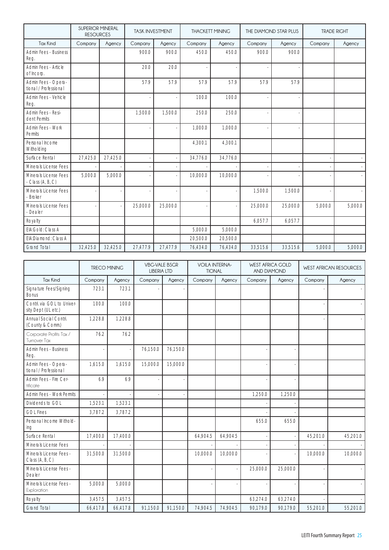|                                              | <b>SUPERIOR MINERAL</b><br><b>RESOURCES</b> |          | <b>TASK INVESTMENT</b> |          | <b>THACKETT MINING</b> |          | THE DIAMOND STAR PLUS |          |         | <b>TRADE RIGHT</b> |
|----------------------------------------------|---------------------------------------------|----------|------------------------|----------|------------------------|----------|-----------------------|----------|---------|--------------------|
| <b>Tax Kind</b>                              | Company                                     | Agency   | Company                | Agency   | Company                | Agency   | Company               | Agency   | Company | Agency             |
| Admin Fees - Business<br>Reg.                |                                             |          | 900.0                  | 900.0    | 450.0                  | 450.0    | 900.0                 | 900.0    |         |                    |
| Admin Fees - Article<br>of Incorp.           |                                             |          | 20.0                   | 20.0     |                        |          |                       |          |         |                    |
| Admin Fees - Opera-<br>tional / Professional |                                             |          | 57.9                   | 57.9     | 57.9                   | 57.9     | 57.9                  | 57.9     |         |                    |
| Admin Fees - Vehicle<br>Reg.                 |                                             |          |                        | $\sim$   | 100.0                  | 100.0    |                       |          |         |                    |
| Admin Fees - Resi-<br>dent Permits           |                                             |          | 1,500.0                | 1,500.0  | 250.0                  | 250.0    |                       |          |         |                    |
| Admin Fees - Work<br>Permits                 |                                             |          |                        |          | 1,000.0                | 1,000.0  |                       |          |         |                    |
| Personal Income<br>Witholding                |                                             |          |                        |          | 4,300.1                | 4,300.1  |                       |          |         |                    |
| Surface Rental                               | 27,425.0                                    | 27,425.0 |                        |          | 34,776.0               | 34,776.0 |                       |          |         |                    |
| Minerals License Fees                        |                                             |          |                        |          |                        |          |                       |          |         |                    |
| Minerals License Fees<br>- Class $(A, B, C)$ | 5.000.0                                     | 5.000.0  |                        |          | 10,000.0               | 10.000.0 |                       |          |         |                    |
| Minerals License Fees<br>- Broker            |                                             |          |                        |          |                        |          | 1,500.0               | 1,500.0  |         |                    |
| Minerals License Fees<br>- Dealer            |                                             |          | 25,000.0               | 25,000.0 |                        |          | 25,000.0              | 25,000.0 | 5,000.0 | 5,000.0            |
| Royalty                                      |                                             |          |                        |          |                        |          | 6.057.7               | 6.057.7  |         |                    |
| EIA:Gold: Class A                            |                                             |          |                        |          | 5,000.0                | 5,000.0  |                       |          |         |                    |
| EIA:Diamond: Class A                         |                                             |          |                        |          | 20,500.0               | 20,500.0 |                       |          |         |                    |
| <b>Grand Total</b>                           | 32,425.0                                    | 32,425.0 | 27,477.9               | 27,477.9 | 76.434.0               | 76,434.0 | 33,515.6              | 33,515.6 | 5,000.0 | 5,000.0            |

|                                                   | <b>TRECO MINING</b> |          | <b>VBG-VALE BSGR</b><br><b>LIBERIA LTD</b> |          | <b>VOILA INTERNA-</b><br><b>TIONAL</b> |          | <b>WEST AFRICA GOLD</b><br><b>AND DIAMOND</b> |          | <b>WEST AFRICAN RESOURCES</b> |          |
|---------------------------------------------------|---------------------|----------|--------------------------------------------|----------|----------------------------------------|----------|-----------------------------------------------|----------|-------------------------------|----------|
| <b>Tax Kind</b>                                   | Company             | Agency   | Company                                    | Agency   | Company                                | Agency   | Company                                       | Agency   | Company                       | Agency   |
| Signature Fees/Signing<br><b>Bonus</b>            | 723.1               | 723.1    |                                            |          |                                        |          |                                               |          |                               |          |
| Contri. via GOL to Univer-<br>sity Dept (UL etc.) | 100.0               | 100.0    |                                            |          |                                        |          |                                               |          |                               |          |
| Annual Social Contri.<br>(County & Comm.)         | 1,228.8             | 1,228.8  |                                            |          |                                        |          |                                               |          |                               |          |
| Corporate Profits Tax /<br>Turnover Tax           | 76.2                | 76.2     |                                            |          |                                        |          |                                               |          |                               |          |
| <b>Admin Fees - Business</b><br>Reg.              |                     |          | 76,150.0                                   | 76.150.0 |                                        |          |                                               |          |                               |          |
| Admin Fees - Opera-<br>tional / Professional      | 1,615.0             | 1,615.0  | 15,000.0                                   | 15,000.0 |                                        |          |                                               |          |                               |          |
| Admin Fees - Fire Cer-<br>tificate                | 6.9                 | 6.9      |                                            |          |                                        |          |                                               |          |                               |          |
| Admin Fees - Work Permits                         |                     |          |                                            |          |                                        |          | 1.250.0                                       | 1,250.0  |                               |          |
| Dividends to GOL                                  | 1,523.1             | 1,523.1  |                                            |          |                                        |          |                                               |          |                               |          |
| <b>GOL Fines</b>                                  | 3.787.2             | 3.787.2  |                                            |          |                                        |          |                                               |          |                               |          |
| Personal Income Withold-<br>ing                   |                     |          |                                            |          |                                        |          | 655.0                                         | 655.0    |                               |          |
| Surface Rental                                    | 17,400.0            | 17,400.0 |                                            |          | 64,904.5                               | 64,904.5 |                                               |          | 45,201.0                      | 45,201.0 |
| Minerals License Fees                             |                     |          |                                            |          |                                        |          |                                               |          |                               |          |
| Minerals License Fees -<br>Class (A, B, C)        | 31,500.0            | 31,500.0 |                                            |          | 10,000.0                               | 10,000.0 |                                               |          | 10,000.0                      | 10,000.0 |
| Minerals License Fees -<br>Dealer                 |                     |          |                                            |          |                                        |          | 25,000.0                                      | 25,000.0 |                               |          |
| Minerals License Fees -<br>Exploration            | 5,000.0             | 5,000.0  |                                            |          |                                        |          |                                               |          |                               |          |
| Royalty                                           | 3,457.5             | 3,457.5  |                                            |          |                                        |          | 63,274.0                                      | 63,274.0 |                               |          |
| <b>Grand Total</b>                                | 66,417.8            | 66,417.8 | 91,150.0                                   | 91,150.0 | 74,904.5                               | 74,904.5 | 90,179.0                                      | 90,179.0 | 55,201.0                      | 55,201.0 |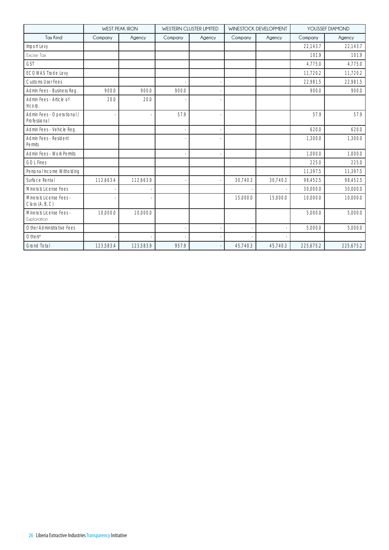|                                            | <b>WEST PEAK IRON</b><br><b>WESTERN CLUSTER LIMITED</b> |           |         | WINESTOCK DEVELOPMENT | YOUSSEF DIAMOND |          |           |           |
|--------------------------------------------|---------------------------------------------------------|-----------|---------|-----------------------|-----------------|----------|-----------|-----------|
| <b>Tax Kind</b>                            | Company                                                 | Agency    | Company | Agency                | Company         | Agency   | Company   | Agency    |
| Import Levy                                |                                                         |           |         |                       |                 |          | 22.143.7  | 22,143.7  |
| Excise Tax                                 |                                                         |           |         |                       |                 |          | 101.9     | 101.9     |
| <b>GST</b>                                 |                                                         |           |         |                       |                 |          | 4.775.0   | 4.775.0   |
| <b>ECOWAS Trade Levy</b>                   |                                                         |           |         |                       |                 |          | 11,720.2  | 11,720.2  |
| <b>Customs User Fees</b>                   |                                                         |           |         |                       |                 |          | 22,981.5  | 22,981.5  |
| Admin Fees - Business Reg.                 | 900.0                                                   | 900.0     | 900.0   |                       |                 |          | 900.0     | 900.0     |
| Admin Fees - Article of<br>Incorp.         | 20.0                                                    | 20.0      |         |                       |                 |          |           |           |
| Admin Fees - Operational /<br>Professional |                                                         |           | 57.9    |                       |                 |          | 57.9      | 57.9      |
| Admin Fees - Vehicle Reg.                  |                                                         |           |         |                       |                 |          | 620.0     | 620.0     |
| Admin Fees - Resident<br>Permits           |                                                         |           |         |                       |                 |          | 1,300.0   | 1,300.0   |
| Admin Fees - Work Permits                  |                                                         |           |         |                       |                 |          | 1.000.0   | 1.000.0   |
| <b>GOL Fines</b>                           |                                                         |           |         |                       |                 |          | 225.0     | 225.0     |
| Personal Income Witholding                 |                                                         |           |         |                       |                 |          | 11.397.5  | 11,397.5  |
| Surface Rental                             | 112,663.4                                               | 112,663.9 |         |                       | 30,740.3        | 30,740.3 | 98,452.5  | 98,452.5  |
| Minerals License Fees                      |                                                         |           |         |                       |                 |          | 30,000.0  | 30,000.0  |
| Minerals License Fees -<br>Class (A, B, C) |                                                         |           |         |                       | 15,000.0        | 15,000.0 | 10.000.0  | 10,000.0  |
| Minerals License Fees -<br>Exploration     | 10,000.0                                                | 10,000.0  |         |                       |                 |          | 5.000.0   | 5,000.0   |
| Other Administrative Fees                  |                                                         |           |         |                       |                 |          | 5.000.0   | 5,000.0   |
| $Other*$                                   |                                                         |           |         |                       |                 |          |           |           |
| <b>Grand Total</b>                         | 123,583.4                                               | 123,583.9 | 957.9   |                       | 45,740.3        | 45,740.3 | 225,675.2 | 225,675.2 |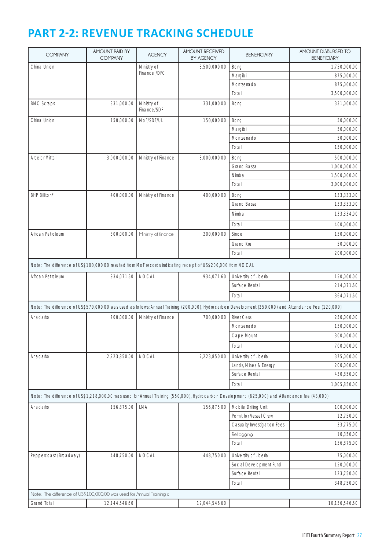## **PART 2-2: REVENUE TRACKING SCHEDULE**

| <b>COMPANY</b>                                                                                                | AMOUNT PAID BY<br><b>COMPANY</b> | <b>AGENCY</b>              | <b>AMOUNT RECEIVED</b><br><b>BY AGENCY</b> | <b>BENEFICIARY</b>                                                                                                                                    | AMOUNT DISBURSED TO<br><b>BENEFICIARY</b> |
|---------------------------------------------------------------------------------------------------------------|----------------------------------|----------------------------|--------------------------------------------|-------------------------------------------------------------------------------------------------------------------------------------------------------|-------------------------------------------|
| China Union                                                                                                   |                                  | Ministry of                | 3,500,000.00                               | Bong                                                                                                                                                  | 1,750,000.00                              |
|                                                                                                               |                                  | Finance /DFC               |                                            | Margibi                                                                                                                                               | 875,000.00                                |
|                                                                                                               |                                  |                            |                                            | Montserrado                                                                                                                                           | 875,000.00                                |
|                                                                                                               |                                  |                            |                                            | Total                                                                                                                                                 | 3,500,000.00                              |
| <b>BMC Scraps</b>                                                                                             | 331,000.00                       | Ministry of<br>Finance/SDF | 331,000.00                                 | Bong                                                                                                                                                  | 331,000.00                                |
| China Union                                                                                                   | 150,000.00                       | MoF/SDF/UL                 | 150,000.00                                 | Bong                                                                                                                                                  | 50,000.00                                 |
|                                                                                                               |                                  |                            |                                            | Margibi                                                                                                                                               | 50,000.00                                 |
|                                                                                                               |                                  |                            |                                            | Montserrado                                                                                                                                           | 50,000.00                                 |
|                                                                                                               |                                  |                            |                                            | Total                                                                                                                                                 | 150,000.00                                |
| <b>Arcelor Mittal</b>                                                                                         | 3,000,000.00                     | Ministry of Finance        | 3,000,000.00                               | Bong                                                                                                                                                  | 500,000.00                                |
|                                                                                                               |                                  |                            |                                            | <b>Grand Bassa</b>                                                                                                                                    | 1,000,000.00                              |
|                                                                                                               |                                  |                            |                                            | Nimba                                                                                                                                                 | 1,500,000.00                              |
|                                                                                                               |                                  |                            |                                            | Total                                                                                                                                                 | 3,000,000.00                              |
| <b>BHP Billiton*</b>                                                                                          | 400,000.00                       | Ministry of Finance        | 400,000.00                                 | Bong                                                                                                                                                  | 133,333.00                                |
|                                                                                                               |                                  |                            |                                            | Grand Bassa                                                                                                                                           | 133,333.00                                |
|                                                                                                               |                                  |                            |                                            | Nimba                                                                                                                                                 | 133,334.00                                |
|                                                                                                               |                                  |                            |                                            | Total                                                                                                                                                 | 400,000.00                                |
| African Petroleum                                                                                             | 300,000.00                       | Ministry of finance        | 200,000.00                                 | Sinoe                                                                                                                                                 | 150,000.00                                |
|                                                                                                               |                                  |                            |                                            | Grand Kru                                                                                                                                             | 50,000.00                                 |
|                                                                                                               |                                  |                            |                                            | Total                                                                                                                                                 | 200,000.00                                |
|                                                                                                               |                                  |                            |                                            |                                                                                                                                                       |                                           |
| Note: The difference of US\$100,000.00 resulted from MoF records indicating receipt of US\$200,000 from NOCAL |                                  |                            |                                            |                                                                                                                                                       |                                           |
| African Petroleum                                                                                             | 934,071.60                       | <b>NOCAL</b>               | 934,071.60                                 | University of Liberia                                                                                                                                 | 150,000.00                                |
|                                                                                                               |                                  |                            |                                            | Surface Rental                                                                                                                                        | 214,071.60                                |
|                                                                                                               |                                  |                            |                                            | Total                                                                                                                                                 | 364,071.60                                |
|                                                                                                               |                                  |                            |                                            | Note: The difference of US\$570,000.00 was used as follows: Annual Training (200,000), Hydrocarbon Development (250,000) and Attendance Fee (120,000) |                                           |
| Anadarko                                                                                                      | 700,000.00                       | Ministry of Finance        | 700,000.00                                 | <b>River Cess</b>                                                                                                                                     | 250,000.00                                |
|                                                                                                               |                                  |                            |                                            | Montserrado                                                                                                                                           | 150,000.00                                |
|                                                                                                               |                                  |                            |                                            | Cape Mount                                                                                                                                            | 300,000.00                                |
|                                                                                                               |                                  |                            |                                            | Total                                                                                                                                                 | 700,000.00                                |
| Anadarko                                                                                                      | 2,223,850.00                     | <b>NOCAL</b>               | 2,223,850.00                               | University of Liberia                                                                                                                                 | 375,000.00                                |
|                                                                                                               |                                  |                            |                                            | Lands, Mines & Energy                                                                                                                                 | 200,000.00                                |
|                                                                                                               |                                  |                            |                                            | Surface Rental                                                                                                                                        | 430,850.00                                |
|                                                                                                               |                                  |                            |                                            | Total                                                                                                                                                 | 1,005,850.00                              |
|                                                                                                               |                                  |                            |                                            | Note: The difference of US\$1,218,000.00 was used for Annual Training (550,000), Hydrocarbon Development (625,000) and Attendance fee (43,000)        |                                           |
| Anadarko                                                                                                      | 156,875.00                       | LMA                        | 156,875.00                                 | Mobile Drilling Unit                                                                                                                                  | 100,000.00                                |
|                                                                                                               |                                  |                            |                                            | Permit for Vessel Crew                                                                                                                                | 12,750.00                                 |
|                                                                                                               |                                  |                            |                                            | Casualty Investigation Fees                                                                                                                           | 33,775.00                                 |
|                                                                                                               |                                  |                            |                                            | Reflagging                                                                                                                                            | 10,350.00                                 |
|                                                                                                               |                                  |                            |                                            | Total                                                                                                                                                 | 156,875.00                                |
| Peppercoast (Broadway)                                                                                        | 448,750.00                       | <b>NOCAL</b>               | 448,750.00                                 | University of Liberia                                                                                                                                 | 75,000.00                                 |
|                                                                                                               |                                  |                            |                                            | Social Development Fund                                                                                                                               | 150,000.00                                |
|                                                                                                               |                                  |                            |                                            | Surface Rental                                                                                                                                        | 123,750.00                                |
|                                                                                                               |                                  |                            |                                            | Total                                                                                                                                                 | 348,750.00                                |
| Note: The difference of US\$100,000.00 was used for Annual Training x                                         |                                  |                            |                                            |                                                                                                                                                       |                                           |
| Grand Total                                                                                                   | 12,144,546.60                    |                            | 12,044,546.60                              |                                                                                                                                                       | 10,156,546.60                             |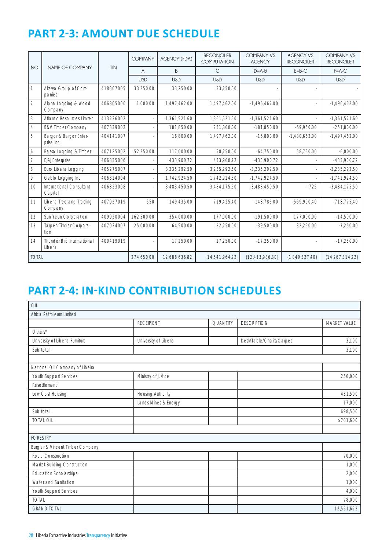## **PART 2-3: AMOUNT DUE SCHEDULE**

|                |                                       |            | <b>COMPANY</b> | <b>AGENCY (FDA)</b> | <b>RECONCILER</b><br><b>COMPUTATION</b> | <b>COMPANY VS</b><br><b>AGENCY</b> | <b>AGENCY VS</b><br><b>RECONCILER</b> | <b>COMPANY VS</b><br><b>RECONCILER</b> |
|----------------|---------------------------------------|------------|----------------|---------------------|-----------------------------------------|------------------------------------|---------------------------------------|----------------------------------------|
| NO.            | NAME OF COMPANY                       | <b>TIN</b> | A              | <sub>B</sub>        | $\mathsf{C}$                            | $D = A - B$                        | $E = B - C$                           | $F = A - C$                            |
|                |                                       |            | <b>USD</b>     | <b>USD</b>          | <b>USD</b>                              | <b>USD</b>                         | <b>USD</b>                            | <b>USD</b>                             |
|                | Akewa Group of Com-<br>panies         | 418307005  | 33,250.00      | 33,250.00           | 33,250.00                               |                                    |                                       |                                        |
| $\overline{2}$ | Alpha Logging & Wood<br>Company       | 406805000  | 1.000.00       | 1,497,462.00        | 1,497,462.00                            | $-1.496.462.00$                    |                                       | $-1,496,462.00$                        |
| 3              | <b>Atlantic Resources Limited</b>     | 413236002  |                | 1,361,521.60        | 1,361,521.60                            | $-1,361,521.60$                    |                                       | $-1,361,521.60$                        |
| $\overline{4}$ | <b>B&amp;V Timber Company</b>         | 407339002  |                | 181.850.00          | 251.800.00                              | $-181.850.00$                      | $-69,950.00$                          | $-251,800.00$                          |
| 5              | Bargor & Bargor Enter-<br>prise Inc   | 404141007  |                | 16,800.00           | 1,497,462.00                            | $-16,800.00$                       | $-1,480,662.00$                       | $-1,497,462.00$                        |
| 6              | Bassa Logging & Timber                | 407125002  | 52.250.00      | 117.000.00          | 58.250.00                               | $-64.750.00$                       | 58.750.00                             | $-6.000.00$                            |
| $\overline{7}$ | EJ&J Enterprise                       | 406835006  |                | 433.900.72          | 433,900.72                              | -433,900.72                        |                                       | -433,900.72                            |
| 8              | Euro Liberia Logging                  | 405275007  |                | 3,235,292.50        | 3,235,292.50                            | $-3,235,292.50$                    |                                       | $-3,235,292.50$                        |
| 9              | Geblo Logging Inc                     | 406824004  |                | 1,742,924.50        | 1,742,924.50                            | $-1,742,924.50$                    |                                       | $-1,742,924.50$                        |
| 10             | International Consultant<br>Capital   | 406823008  |                | 3.483.450.50        | 3,484,175.50                            | $-3.483.450.50$                    | $-725$                                | $-3.484.175.50$                        |
| 11             | Liberia Tree and Trading<br>Company   | 407027019  | 650            | 149.435.00          | 719,425.40                              | $-148.785.00$                      | -569.990.40                           | $-718.775.40$                          |
| 12             | Sun Yeun Corporation                  | 409920004  | 162.500.00     | 354.000.00          | 177.000.00                              | $-191.500.00$                      | 177.000.00                            | $-14,500.00$                           |
| 13             | Tarpeh Timber Corpora-<br>tion        | 407034007  | 25,000.00      | 64,500.00           | 32,250.00                               | $-39,500.00$                       | 32,250.00                             | $-7,250.00$                            |
| 14             | Thunder Bird International<br>Liberia | 400419019  |                | 17,250.00           | 17,250.00                               | $-17,250.00$                       |                                       | $-17,250.00$                           |
| <b>TOTAL</b>   |                                       |            | 274.650.00     | 12.688.636.82       | 14,541,964.22                           | (12, 413, 986.80)                  | (1,849,327.40)                        | (14,267,314.22)                        |

## **PART 2-4: IN-KIND CONTRIBUTION SCHEDULES**

| OIL                              |                       |                 |                          |              |
|----------------------------------|-----------------------|-----------------|--------------------------|--------------|
| Africa Petroleum Limited         |                       |                 |                          |              |
|                                  | <b>RECEIPIENT</b>     | <b>QUANTITY</b> | <b>DESCRIPTION</b>       | MARKET VALUE |
| $O$ thers*                       |                       |                 |                          |              |
| University of Liberia Furniture  | University of Liberia |                 | Desk/Table/Chairs/Carpet | 3,100        |
| Sub total                        |                       |                 |                          | 3,100        |
|                                  |                       |                 |                          |              |
| National Oil Company of Libeira  |                       |                 |                          |              |
| Youth Support Services           | Ministry of Justice   |                 |                          | 250,000      |
| Resettlement                     |                       |                 |                          |              |
| Low Cost Housing                 | Housing Authority     |                 |                          | 431,500      |
|                                  | Lands Mines & Energy  |                 |                          | 17,000       |
| Sub total                        |                       |                 |                          | 698,500      |
| <b>TOTAL OIL</b>                 |                       |                 |                          | \$701,600    |
|                                  |                       |                 |                          |              |
| <b>FORESTRY</b>                  |                       |                 |                          |              |
| Burglar & Vincent Timber Company |                       |                 |                          |              |
| Road Construction                |                       |                 |                          | 70,000       |
| Market Building Construction     |                       |                 |                          | 1,000        |
| <b>Education Scholarships</b>    |                       |                 |                          | 2,000        |
| Water and Sanitation             |                       |                 |                          | 1,000        |
| Youth Support Services           |                       |                 |                          | 4,000        |
| <b>TOTAL</b>                     |                       |                 |                          | 78,000       |
| <b>GRAND TOTAL</b>               |                       |                 |                          | 12,551,622   |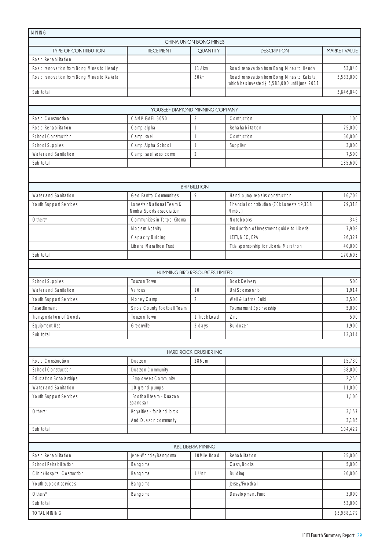| <b>MINING</b>                             |                                    |                                |                                                                                              |              |
|-------------------------------------------|------------------------------------|--------------------------------|----------------------------------------------------------------------------------------------|--------------|
|                                           |                                    | CHINA UNION BONG MINES         |                                                                                              |              |
| <b>TYPE OF CONTRIBUTION</b>               | <b>RECEIPIENT</b>                  | <b>QUANTITY</b>                | <b>DESCRIPTION</b>                                                                           | MARKET VALUE |
| Road Rehabilitation                       |                                    |                                |                                                                                              |              |
| Road renovation from Bong Mines to Hendy  |                                    | 11.4km                         | Road renovation from Bong Mines to Hendy                                                     | 63,840       |
| Road renovation from Bong Mines to Kakata |                                    | 30km                           | Road renovation from Bong Mines to Kakata,<br>which has invested\$ 5,583,000 until June 2011 | 5,583,000    |
| Sub total                                 |                                    |                                |                                                                                              | 5,646,840    |
|                                           |                                    |                                |                                                                                              |              |
|                                           | YOUSEEF DIAMOND MINNING COMPANY    |                                |                                                                                              |              |
| Road Construction                         | CAMP ISAEL 5050                    | 3                              | Contruction                                                                                  | 100          |
| Road Rehabilitation                       | Camp alpha                         | 1                              | Rehahabilitation                                                                             | 75,000       |
| <b>School Construction</b>                | Camp Isael                         | 1                              | Contruction                                                                                  | 50,000       |
| <b>School Supplies</b>                    | Camp Alpha School                  | 1                              | Supplier                                                                                     | 3,000        |
| Water and Sanitation                      | Camp Isael soso como               | $\overline{2}$                 |                                                                                              | 7,500        |
| Sub total                                 |                                    |                                |                                                                                              | 135,600      |
|                                           |                                    |                                |                                                                                              |              |
|                                           |                                    | <b>BHP BILLITON</b>            |                                                                                              |              |
| Water and Sanitation                      | <b>Geo Fantro Communities</b>      | 9                              | Hand pump repairs construction                                                               | 16,705       |
| Youth Support Services                    | Lonestar National Team &           |                                | Financial contribution (70k Lonestar; 9,318                                                  | 79,318       |
|                                           | Nimba Sports association           |                                | Nimba)                                                                                       |              |
| Others*                                   | Communities in Totpo Kitoma        |                                | Notebooks                                                                                    | 345          |
|                                           | Modern Activity                    |                                | Production of Investment guide to Liberia                                                    | 7,908        |
|                                           | Capacity Building                  |                                | LEITI, NEC, EPA                                                                              | 26,327       |
|                                           | Liberia Marathon Trust             |                                | Title sponsorship for Liberia Marathon                                                       | 40,000       |
| Sub total                                 |                                    |                                |                                                                                              | 170,603      |
|                                           |                                    |                                |                                                                                              |              |
|                                           |                                    | HUMMING BIRD RESOURCES LIMITED |                                                                                              |              |
| <b>School Supplies</b>                    | Touzon Town                        |                                | <b>Book Delivery</b>                                                                         | 500          |
| Water and Sanitation                      | Various                            | 10                             | Uni Sponsorship                                                                              | 1,914        |
| Youth Support Services                    | Money Camp                         | $\overline{2}$                 | Well & Latrine Build                                                                         | 3,500        |
| Resettlement                              | Sinoe County Football Team         |                                | Tournament Sponsorship                                                                       | 5,000        |
| Transportation of Goods                   | Touzon Town                        | 1 Truck Load                   | Zinc                                                                                         | 500          |
| Equipment Use                             | Greenville                         | 2 days                         | <b>Bulldozer</b>                                                                             | 1,900        |
| Sub total                                 |                                    |                                |                                                                                              | 13,314       |
|                                           |                                    |                                |                                                                                              |              |
|                                           |                                    | HARD ROCK CRUSHER INC          |                                                                                              |              |
| Road Construction                         | Duazon                             | 286cm                          |                                                                                              | 15,730       |
| <b>School Construction</b>                | Duazon Community                   |                                |                                                                                              | 68,000       |
| <b>Education Scholarships</b>             | <b>Employees Community</b>         |                                |                                                                                              | 2,250        |
| Water and Sanitation                      | 10 grand pumps                     |                                |                                                                                              | 11,000       |
| Youth Support Services                    | Football team - Duazon<br>spandsar |                                |                                                                                              | 1,100        |
| $O$ thers*                                | Royalties - for land lords         |                                |                                                                                              | 3,157        |
|                                           | And Duazon community               |                                |                                                                                              | 3,185        |
| Sub total                                 |                                    |                                |                                                                                              | 104,422      |
|                                           |                                    |                                |                                                                                              |              |
|                                           |                                    | <b>KBL LIBERIA MINING</b>      |                                                                                              |              |
| Road Rehabilitation                       | Jene-Wonde/Bangorma                | 10Mile Road                    | Rehabilitation                                                                               | 25,000       |
| School Rehabilitation                     | Bangoma                            |                                | Cash, Books                                                                                  | 5,000        |
| Clinic/Hospital Costruction               | Bangoma                            | 1 Unit                         | Building                                                                                     | 20,000       |
| Youth support services                    | Bangoma                            |                                | Jersey/Football                                                                              |              |
| $O$ thers*                                | Bangoma                            |                                | Development Fund                                                                             | 3,000        |
| Sub total                                 |                                    |                                |                                                                                              | 53,000       |
| <b>TOTAL MINING</b>                       |                                    |                                |                                                                                              | \$5,988,179  |
|                                           |                                    |                                |                                                                                              |              |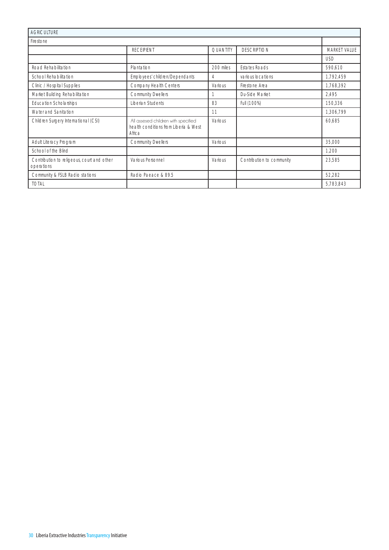| <b>AGRICULTURE</b>                                       |                                                                                        |                 |                           |              |
|----------------------------------------------------------|----------------------------------------------------------------------------------------|-----------------|---------------------------|--------------|
| Firestone                                                |                                                                                        |                 |                           |              |
|                                                          | <b>RECEIPIENT</b>                                                                      | <b>QUANTITY</b> | <b>DESCRIPTION</b>        | MARKET VALUE |
|                                                          |                                                                                        |                 |                           | USD.         |
| Road Rehabilitation                                      | Plantation                                                                             | 200 miles       | <b>Estates Roads</b>      | 590,610      |
| School Rehabilitation                                    | Employees' children/Dependants                                                         | Δ               | various locations         | 1,792,459    |
| Clinic / Hospital Supplies                               | Company Health Centers                                                                 | Various         | Firestone Area            | 1,768,392    |
| Market Building Rehabilitation                           | <b>Community Dwellers</b>                                                              |                 | Du-Side Market            | 2.495        |
| <b>Education Scholarships</b>                            | Liberian Students                                                                      | 83              | Full (100%)               | 150,336      |
| Water and Sanitation                                     |                                                                                        | 11              |                           | 1,306,799    |
| Children Surgery International (CSI)                     | All assesed children with specified<br>health conditions from Liberia & West<br>Africa | Various         |                           | 60,685       |
| Adult Literacy Program                                   | <b>Community Dwellers</b>                                                              | Various         |                           | 35,000       |
| School of the Blind                                      |                                                                                        |                 |                           | 1,200        |
| Contribution to religeous, court and other<br>operations | Various Personnel                                                                      | Various         | Contribution to community | 23,585       |
| Community & FSLB Radio stations                          | Radio Paeace & 89.5                                                                    |                 |                           | 52,282       |
| <b>TOTAL</b>                                             |                                                                                        |                 |                           | 5,783,843    |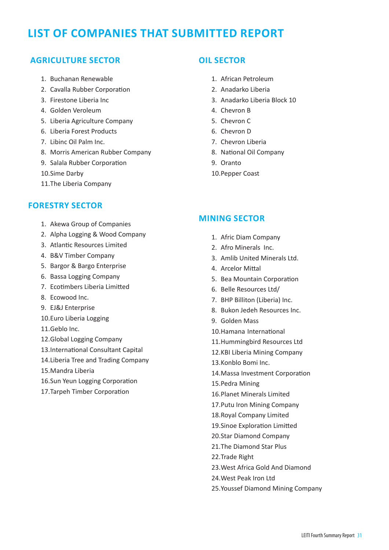## **LIST OF COMPANIES THAT SUBMITTED REPORT**

## **AGRICULTURE SECTOR**

- 1. Buchanan Renewable
- 2. Cavalla Rubber Corporation
- 3. Firestone Liberia Inc
- 4. Golden Veroleum
- 5. Liberia Agriculture Company
- 6. Liberia Forest Products
- 7. Libinc Oil Palm Inc.
- 8. Morris American Rubber Company
- 9. Salala Rubber Corporation
- 10.Sime Darby
- 11.The Liberia Company

## **FORESTRY SECTOR**

- 1. Akewa Group of Companies
- 2. Alpha Logging & Wood Company
- 3. Atlantic Resources Limited
- 4. B&V Timber Company
- 5. Bargor & Bargo Enterprise
- 6. Bassa Logging Company
- 7. Ecotimbers Liberia Limitted
- 8. Ecowood Inc.
- 9. EJ&J Enterprise
- 10.Euro Liberia Logging
- 11.Geblo Inc.
- 12.Global Logging Company
- 13.International Consultant Capital
- 14.Liberia Tree and Trading Company
- 15.Mandra Liberia
- 16.Sun Yeun Logging Corporation
- 17.Tarpeh Timber Corporation

#### **OIL SECTOR**

- 1. African Petroleum
- 2. Anadarko Liberia
- 3. Anadarko Liberia Block 10
- 4. Chevron B
- 5. Chevron C
- 6. Chevron D
- 7. Chevron Liberia
- 8. National Oil Company
- 9. Oranto
- 10.Pepper Coast

#### **MINING SECTOR**

- 1. Afric Diam Company
- 2. Afro Minerals Inc.
- 3. Amlib United Minerals Ltd.
- 4. Arcelor Mittal
- 5. Bea Mountain Corporation
- 6. Belle Resources Ltd/
- 7. BHP Billiton (Liberia) Inc.
- 8. Bukon Jedeh Resources Inc.
- 9. Golden Mass
- 10.Hamana International
- 11.Hummingbird Resources Ltd
- 12.KBI Liberia Mining Company
- 13.Konblo Bomi Inc.
- 14.Massa Investment Corporation
- 15.Pedra Mining
- 16.Planet Minerals Limited
- 17.Putu Iron Mining Company
- 18.Royal Company Limited
- 19.Sinoe Exploration Limitted
- 20.Star Diamond Company
- 21.The Diamond Star Plus
- 22.Trade Right
- 23.West Africa Gold And Diamond
- 24.West Peak Iron Ltd
- 25.Youssef Diamond Mining Company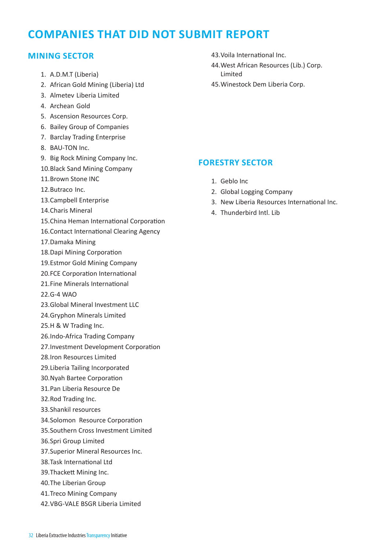## **COMPANIES THAT DID NOT SUBMIT REPORT**

## **MINING SECTOR**

- 1. A.D.M.T (Liberia)
- 2. African Gold Mining (Liberia) Ltd
- 3. Almetev Liberia Limited
- 4. Archean Gold
- 5. Ascension Resources Corp.
- 6. Bailey Group of Companies
- 7. Barclay Trading Enterprise
- 8. BAU-TON Inc.
- 9. Big Rock Mining Company Inc.
- 10.Black Sand Mining Company
- 11.Brown Stone INC
- 12.Butraco Inc.
- 13.Campbell Enterprise
- 14.Charis Mineral
- 15.China Heman International Corporation
- 16.Contact International Clearing Agency
- 17.Damaka Mining
- 18.Dapi Mining Corporation
- 19.Estmor Gold Mining Company
- 20.FCE Corporation International
- 21.Fine Minerals International
- 22.G-4 WAO
- 23.Global Mineral Investment LLC
- 24.Gryphon Minerals Limited
- 25.H & W Trading Inc.
- 26.Indo-Africa Trading Company
- 27.Investment Development Corporation
- 28.Iron Resources Limited
- 29.Liberia Tailing Incorporated
- 30.Nyah Bartee Corporation
- 31.Pan Liberia Resource De
- 32.Rod Trading Inc.
- 33.Shankil resources
- 34.Solomon Resource Corporation
- 35.Southern Cross Investment Limited
- 36.Spri Group Limited
- 37.Superior Mineral Resources Inc.
- 38.Task International Ltd
- 39.Thackett Mining Inc.
- 40.The Liberian Group
- 41.Treco Mining Company
- 42.VBG-VALE BSGR Liberia Limited
- 43.Voila International Inc.
- 44.West African Resources (Lib.) Corp. Limited
- 45.Winestock Dem Liberia Corp.

#### **FORESTRY SECTOR**

- 1. Geblo Inc
- 2. Global Logging Company
- 3. New Liberia Resources International Inc.
- 4. Thunderbird Intl. Lib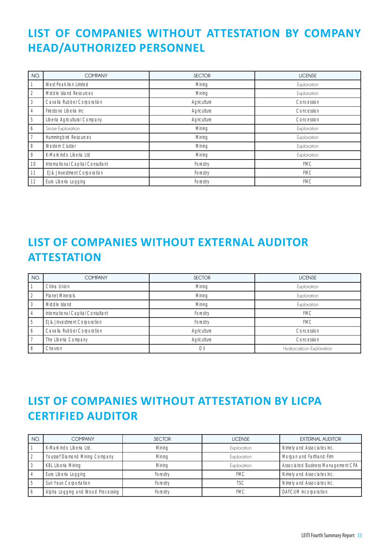## **LIST OF COMPANIES WITHOUT ATTESTATION BY COMPANY HEAD/AUTHORIZED PERSONNEL**

| NO.            | <b>COMPANY</b>                   | <b>SECTOR</b> | <b>LICENSE</b> |
|----------------|----------------------------------|---------------|----------------|
| 1              | West Peak Iron Limited           | Mining        | Exploration    |
| $\overline{2}$ | Middle Island Resources          | Mining        | Exploration    |
| 3              | Cavalla Rubber Corporation       | Agriculture   | Concession     |
| $\overline{4}$ | Firestone Liberia Inc            | Agriculture   | Concession     |
| 5              | Liberia Agricultural Company     | Agriculture   | Concession     |
| 6              | Sinoe Exploration                | Mining        | Exploration    |
| $\overline{7}$ | Hummingbird Resources            | Mining        | Exploration    |
| 8              | Western Cluster                  | Mining        | Exploration    |
| 9              | K-Mark Indo Liberia Ltd          | Mining        | Exploration    |
| 10             | International Capital Consultant | Forestry      | <b>FMC</b>     |
| 11             | El & I Investment Corporation    | Forestry      | <b>FMC</b>     |
| 12             | Euro Liberia Logging             | Forestry      | <b>FMC</b>     |

## **LIST OF COMPANIES WITHOUT EXTERNAL AUDITOR ATTESTATION**

| NO.            | <b>COMPANY</b>                   | <b>SECTOR</b> | <b>LICENSE</b>          |
|----------------|----------------------------------|---------------|-------------------------|
|                | China Union                      | Mining        | Exploration             |
| 2              | <b>Planet Minerals</b>           | Mining        | Exploration             |
| 3              | Middle Island                    | Mining        | Exploration             |
| $\overline{4}$ | International Capital Consultant | Forestry      | <b>FMC</b>              |
| 5              | El & J Investment Corporation    | Forestry      | <b>FMC</b>              |
| 6              | Cavalla Rubber Corporation       | Agriculture   | Concession              |
|                | The Liberia Company              | Agriculture   | Concession              |
| 8              | Chevron                          | Oil           | Hydrocarbon Exploration |

## **LIST OF COMPANIES WITHOUT ATTESTATION BY LICPA CERTIFIED AUDITOR**

| NO. | <b>COMPANY</b>                    | <b>SECTOR</b> | <b>LICENSE</b> | <b>EXTERNAL AUDITOR</b>            |
|-----|-----------------------------------|---------------|----------------|------------------------------------|
|     | K-Mark Indo Liberia Ltd.          | Mining        | Exploration    | Nimely and Associates Inc.         |
|     | Youssef Diamond Mining Company    | Mining        | Exploration    | Morgan and Farthand Firm           |
|     | KBL Liberia Mining                | Mining        | Exploration    | Associated Business Management CPA |
|     | Euro Liberia Logging              | Forestry      | <b>FMC</b>     | Nimely and Associates Inc.         |
|     | Sun Yeun Corportation             | Forestry      | TSC            | Nimely and Associates Inc.         |
|     | Alpha Logging and Wood Processing | Forestry      | <b>FMC</b>     | <b>DAFCUM</b> Incorporation        |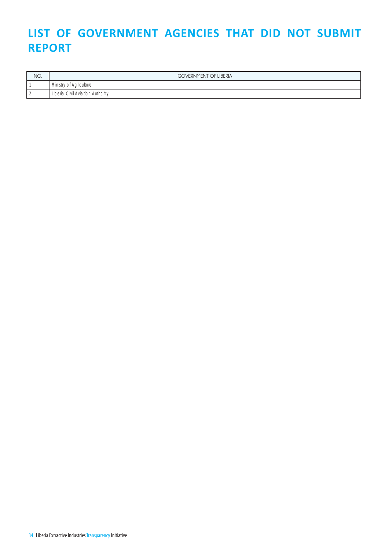## LIST OF GOVERNMENT AGENCIES THAT DID NOT SUBMIT **REPORT**

| NO.      | <b>COVERNMENT OF LIBERIA</b>     |
|----------|----------------------------------|
|          | Ministry of Agriculture          |
| <u>_</u> | Liberia Civil Aviation Authority |